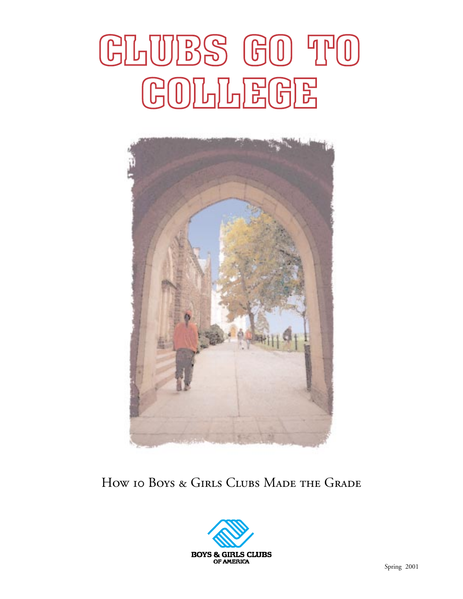## GLUBS GO TO COLLEGE



#### How 10 Boys & Girls Clubs Made the Grade

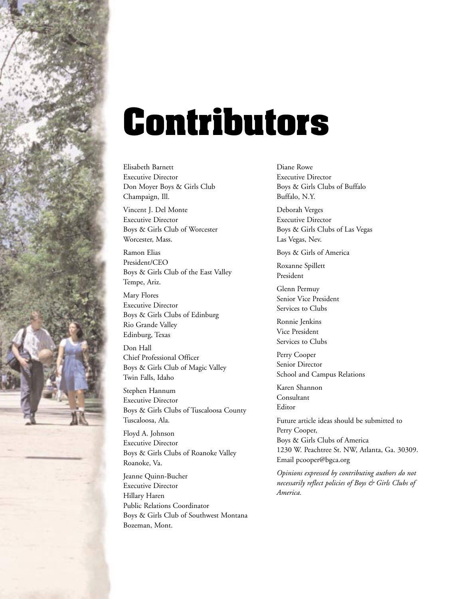

## **Contributors**

Elisabeth Barnett Executive Director Don Moyer Boys & Girls Club Champaign, Ill.

Vincent J. Del Monte Executive Director Boys & Girls Club of Worcester Worcester, Mass.

Ramon Elias President/CEO Boys & Girls Club of the East Valley Tempe, Ariz.

Mary Flores Executive Director Boys & Girls Clubs of Edinburg Rio Grande Valley Edinburg, Texas

Don Hall Chief Professional Officer Boys & Girls Club of Magic Valley Twin Falls, Idaho

Stephen Hannum Executive Director Boys & Girls Clubs of Tuscaloosa County Tuscaloosa, Ala.

Floyd A. Johnson Executive Director Boys & Girls Clubs of Roanoke Valley Roanoke, Va.

Jeanne Quinn-Bucher Executive Director Hillary Haren Public Relations Coordinator Boys & Girls Club of Southwest Montana Bozeman, Mont.

Diane Rowe Executive Director Boys & Girls Clubs of Buffalo Buffalo, N.Y.

Deborah Verges Executive Director Boys & Girls Clubs of Las Vegas Las Vegas, Nev.

Boys & Girls of America

Roxanne Spillett President

Glenn Permuy Senior Vice President Services to Clubs

Ronnie Jenkins Vice President Services to Clubs

Perry Cooper Senior Director School and Campus Relations

Karen Shannon Consultant Editor

Future article ideas should be submitted to Perry Cooper, Boys & Girls Clubs of America 1230 W. Peachtree St. NW, Atlanta, Ga. 30309. Email pcooper@bgca.org

*Opinions expressed by contributing authors do not necessarily reflect policies of Boys & Girls Clubs of America.*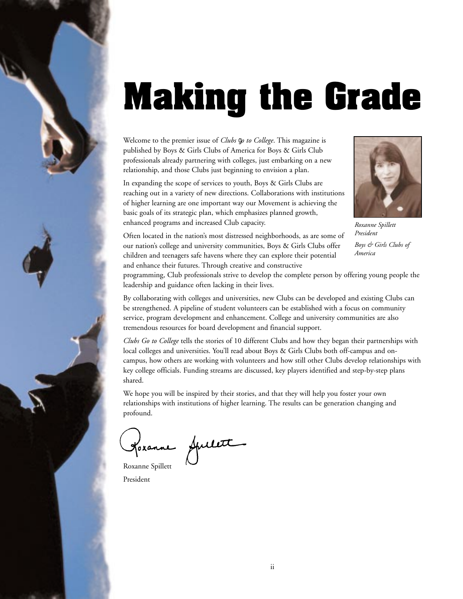# **Making the Grade**

Welcome to the premier issue of *Clubs go to College*. This magazine is published by Boys & Girls Clubs of America for Boys & Girls Club professionals already partnering with colleges, just embarking on a new relationship, and those Clubs just beginning to envision a plan.

In expanding the scope of services to youth, Boys & Girls Clubs are reaching out in a variety of new directions. Collaborations with institutions of higher learning are one important way our Movement is achieving the basic goals of its strategic plan, which emphasizes planned growth, enhanced programs and increased Club capacity.



*Roxanne Spillett President Boys & Girls Clubs of America*

Often located in the nation's most distressed neighborhoods, as are some of our nation's college and university communities, Boys & Girls Clubs offer children and teenagers safe havens where they can explore their potential and enhance their futures. Through creative and constructive

programming, Club professionals strive to develop the complete person by offering young people the leadership and guidance often lacking in their lives.

By collaborating with colleges and universities, new Clubs can be developed and existing Clubs can be strengthened. A pipeline of student volunteers can be established with a focus on community service, program development and enhancement. College and university communities are also tremendous resources for board development and financial support.

*Clubs Go to College* tells the stories of 10 different Clubs and how they began their partnerships with local colleges and universities. You'll read about Boys & Girls Clubs both off-campus and oncampus, how others are working with volunteers and how still other Clubs develop relationships with key college officials. Funding streams are discussed, key players identified and step-by-step plans shared.

We hope you will be inspired by their stories, and that they will help you foster your own relationships with institutions of higher learning. The results can be generation changing and profound.

Horanne Spillett

Roxanne Spillett President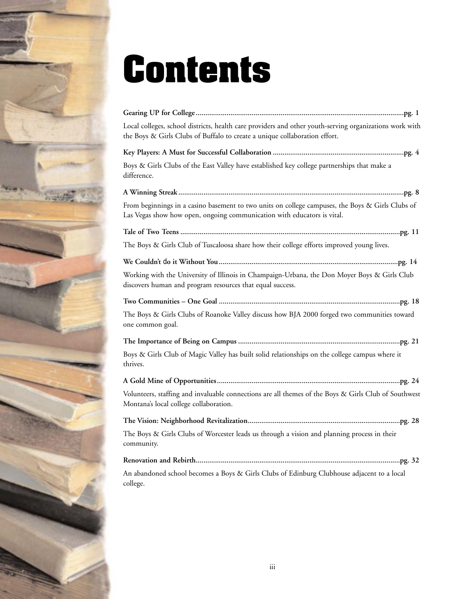

## **Contents**

| Local colleges, school districts, health care providers and other youth-serving organizations work with<br>the Boys & Girls Clubs of Buffalo to create a unique collaboration effort. |
|---------------------------------------------------------------------------------------------------------------------------------------------------------------------------------------|
|                                                                                                                                                                                       |
| Boys & Girls Clubs of the East Valley have established key college partnerships that make a<br>difference.                                                                            |
|                                                                                                                                                                                       |
| From beginnings in a casino basement to two units on college campuses, the Boys & Girls Clubs of<br>Las Vegas show how open, ongoing communication with educators is vital.           |
|                                                                                                                                                                                       |
| The Boys & Girls Club of Tuscaloosa share how their college efforts improved young lives.                                                                                             |
|                                                                                                                                                                                       |
| Working with the University of Illinois in Champaign-Urbana, the Don Moyer Boys & Girls Club<br>discovers human and program resources that equal success.                             |
|                                                                                                                                                                                       |
| The Boys & Girls Clubs of Roanoke Valley discuss how BJA 2000 forged two communities toward<br>one common goal.                                                                       |
|                                                                                                                                                                                       |
| Boys & Girls Club of Magic Valley has built solid relationships on the college campus where it<br>thrives.                                                                            |
|                                                                                                                                                                                       |
| Volunteers, staffing and invaluable connections are all themes of the Boys & Girls Club of Southwest<br>Montana's local college collaboration.                                        |
|                                                                                                                                                                                       |
| The Boys & Girls Clubs of Worcester leads us through a vision and planning process in their<br>community.                                                                             |
|                                                                                                                                                                                       |
| An abandoned school becomes a Boys & Girls Clubs of Edinburg Clubhouse adjacent to a local<br>college.                                                                                |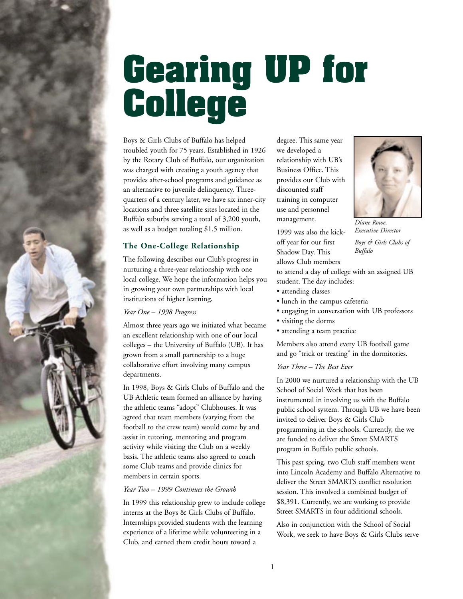<span id="page-4-0"></span>

## **Gearing UP for College**

Boys & Girls Clubs of Buffalo has helped troubled youth for 75 years. Established in 1926 by the Rotary Club of Buffalo, our organization was charged with creating a youth agency that provides after-school programs and guidance as an alternative to juvenile delinquency. Threequarters of a century later, we have six inner-city locations and three satellite sites located in the Buffalo suburbs serving a total of 3,200 youth, as well as a budget totaling \$1.5 million.

#### **The One-College Relationship**

The following describes our Club's progress in nurturing a three-year relationship with one local college. We hope the information helps you in growing your own partnerships with local institutions of higher learning.

*Year One – 1998 Progress*

Almost three years ago we initiated what became an excellent relationship with one of our local colleges – the University of Buffalo (UB). It has grown from a small partnership to a huge collaborative effort involving many campus departments.

In 1998, Boys & Girls Clubs of Buffalo and the UB Athletic team formed an alliance by having the athletic teams "adopt" Clubhouses. It was agreed that team members (varying from the football to the crew team) would come by and assist in tutoring, mentoring and program activity while visiting the Club on a weekly basis. The athletic teams also agreed to coach some Club teams and provide clinics for members in certain sports.

#### *Year Two – 1999 Continues the Growth*

In 1999 this relationship grew to include college interns at the Boys & Girls Clubs of Buffalo. Internships provided students with the learning experience of a lifetime while volunteering in a Club, and earned them credit hours toward a

degree. This same year we developed a relationship with UB's Business Office. This provides our Club with discounted staff training in computer use and personnel management.

1999 was also the kickoff year for our first Shadow Day. This allows Club members



*Diane Rowe, Executive Director Boys & Girls Clubs of Buffalo*

to attend a day of college with an assigned UB student. The day includes:

- attending classes
- lunch in the campus cafeteria
- engaging in conversation with UB professors
- visiting the dorms
- attending a team practice

Members also attend every UB football game and go "trick or treating" in the dormitories.

#### *Year Three – The Best Ever*

In 2000 we nurtured a relationship with the UB School of Social Work that has been instrumental in involving us with the Buffalo public school system. Through UB we have been invited to deliver Boys & Girls Club programming in the schools. Currently, the we are funded to deliver the Street SMARTS program in Buffalo public schools.

This past spring, two Club staff members went into Lincoln Academy and Buffalo Alternative to deliver the Street SMARTS conflict resolution session. This involved a combined budget of \$8,391. Currently, we are working to provide Street SMARTS in four additional schools.

Also in conjunction with the School of Social Work, we seek to have Boys & Girls Clubs serve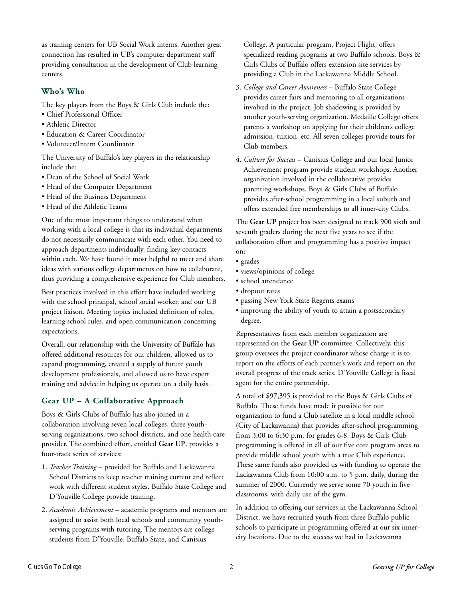as training centers for UB Social Work interns. Another great connection has resulted in UB's computer department staff providing consultation in the development of Club learning centers.

#### **Who's Who**

The key players from the Boys & Girls Club include the:

- Chief Professional Officer
- Athletic Director
- Education & Career Coordinator
- Volunteer/Intern Coordinator

The University of Buffalo's key players in the relationship include the:

- Dean of the School of Social Work
- Head of the Computer Department
- Head of the Business Department
- Head of the Athletic Teams

One of the most important things to understand when working with a local college is that its individual departments do not necessarily communicate with each other. You need to approach departments individually, finding key contacts within each. We have found it most helpful to meet and share ideas with various college departments on how to collaborate, thus providing a comprehensive experience for Club members.

Best practices involved in this effort have included working with the school principal, school social worker, and our UB project liaison. Meeting topics included definition of roles, learning school rules, and open communication concerning expectations.

Overall, our relationship with the University of Buffalo has offered additional resources for our children, allowed us to expand programming, created a supply of future youth development professionals, and allowed us to have expert training and advice in helping us operate on a daily basis.

#### **Gear UP – A Collaborative Approach**

Boys & Girls Clubs of Buffalo has also joined in a collaboration involving seven local colleges, three youthserving organizations, two school districts, and one health care provider. The combined effort, entitled **Gear UP**, provides a four-track series of services:

- 1. *Teacher Training* provided for Buffalo and Lackawanna School Districts to keep teacher training current and reflect work with different student styles. Buffalo State College and D'Youville College provide training.
- 2. *Academic Achievement* academic programs and mentors are assigned to assist both local schools and community youthserving programs with tutoring. The mentors are college students from D'Youville, Buffalo State, and Canisius

College. A particular program, Project Flight, offers specialized reading programs at two Buffalo schools. Boys & Girls Clubs of Buffalo offers extension site services by providing a Club in the Lackawanna Middle School.

- 3. *College and Career Awareness* Buffalo State College provides career fairs and mentoring to all organizations involved in the project. Job shadowing is provided by another youth-serving organization. Medaille College offers parents a workshop on applying for their children's college admission, tuition, etc. All seven colleges provide tours for Club members.
- 4. *Culture for Success* Canisius College and our local Junior Achievement program provide student workshops. Another organization involved in the collaborative provides parenting workshops. Boys & Girls Clubs of Buffalo provides after-school programming in a local suburb and offers extended free memberships to all inner-city Clubs.

The **Gear UP** project has been designed to track 900 sixth and seventh graders during the next five years to see if the collaboration effort and programming has a positive impact on:

- grades
- views/opinions of college
- school attendance
- dropout rates
- passing New York State Regents exams
- improving the ability of youth to attain a postsecondary degree.

Representatives from each member organization are represented on the **Gear UP** committee. Collectively, this group oversees the project coordinator whose charge it is to report on the efforts of each partner's work and report on the overall progress of the track series. D'Youville College is fiscal agent for the entire partnership.

A total of \$97,395 is provided to the Boys & Girls Clubs of Buffalo. These funds have made it possible for our organization to fund a Club satellite in a local middle school (City of Lackawanna) that provides after-school programming from 3:00 to 6:30 p.m. for grades 6-8. Boys & Girls Club programming is offered in all of our five core program areas to provide middle school youth with a true Club experience. These same funds also provided us with funding to operate the Lackawanna Club from 10:00 a.m. to 5 p.m. daily, during the summer of 2000. Currently we serve some 70 youth in five classrooms, with daily use of the gym.

In addition to offering our services in the Lackawanna School District, we have recruited youth from three Buffalo public schools to participate in programming offered at our six innercity locations. Due to the success we had in Lackawanna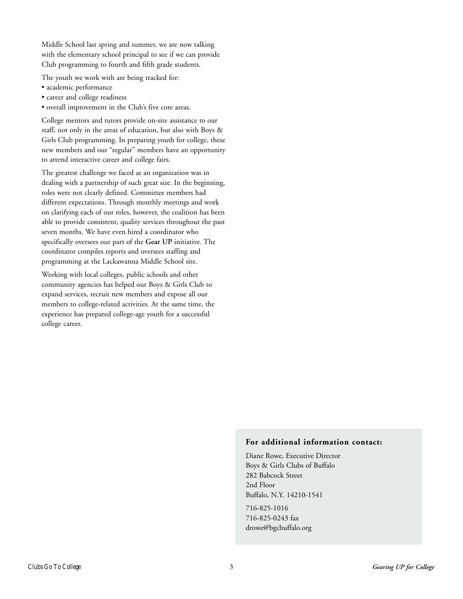Middle School last spring and summer, we are now talking with the elementary school principal to see if we can provide Club programming to fourth and fifth grade students.

The youth we work with are being tracked for:

- academic performance
- career and college readiness
- overall improvement in the Club's five core areas.

College mentors and tutors provide on-site assistance to our staff, not only in the areas of education, but also with Boys & Girls Club programming. In preparing youth for college, these new members and our "regular" members have an opportunity to attend interactive career and college fairs.

The greatest challenge we faced as an organization was in dealing with a partnership of such great size. In the beginning, roles were not clearly defined. Committee members had different expectations. Through monthly meetings and work on clarifying each of our roles, however, the coalition has been able to provide consistent, quality services throughout the past seven months. We have even hired a coordinator who specifically oversees our part of the **Gear UP** initiative. The coordinator compiles reports and oversees staffing and programming at the Lackawanna Middle School site.

Working with local colleges, public schools and other community agencies has helped our Boys & Girls Club to expand services, recruit new members and expose all our members to college-related activities. At the same time, the experience has prepared college-age youth for a successful college career.

#### **For additional information contact:**

Diane Rowe, Executive Director Boys & Girls Clubs of Buffalo 282 Babcock Street 2nd Floor Buffalo, N.Y. 14210-1541

716-825-1016 716-825-0243 fax drowe@bgcbuffalo.org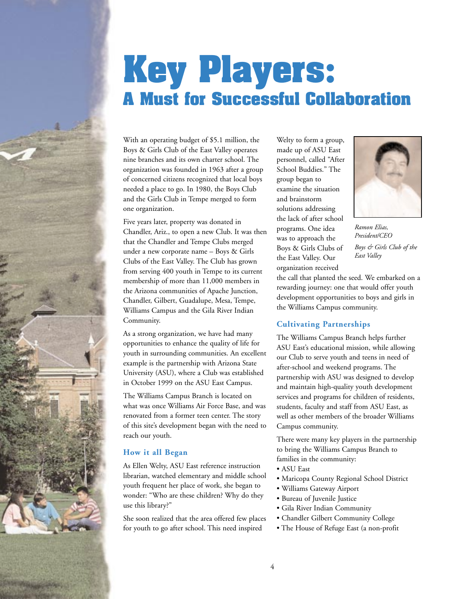### <span id="page-7-0"></span>**Key Players: A Must for Successful Collaboration**

With an operating budget of \$5.1 million, the Boys & Girls Club of the East Valley operates nine branches and its own charter school. The organization was founded in 1963 after a group of concerned citizens recognized that local boys needed a place to go. In 1980, the Boys Club and the Girls Club in Tempe merged to form one organization.

Five years later, property was donated in Chandler, Ariz., to open a new Club. It was then that the Chandler and Tempe Clubs merged under a new corporate name – Boys & Girls Clubs of the East Valley. The Club has grown from serving 400 youth in Tempe to its current membership of more than 11,000 members in the Arizona communities of Apache Junction, Chandler, Gilbert, Guadalupe, Mesa, Tempe, Williams Campus and the Gila River Indian Community.

As a strong organization, we have had many opportunities to enhance the quality of life for youth in surrounding communities. An excellent example is the partnership with Arizona State University (ASU), where a Club was established in October 1999 on the ASU East Campus.

The Williams Campus Branch is located on what was once Williams Air Force Base, and was renovated from a former teen center. The story of this site's development began with the need to reach our youth.

#### **How it all Began**

As Ellen Welty, ASU East reference instruction librarian, watched elementary and middle school youth frequent her place of work, she began to wonder: "Who are these children? Why do they use this library?"

She soon realized that the area offered few places for youth to go after school. This need inspired

Welty to form a group, made up of ASU East personnel, called "After School Buddies." The group began to examine the situation and brainstorm solutions addressing the lack of after school programs. One idea was to approach the Boys & Girls Clubs of the East Valley. Our organization received



*Ramon Elias, President/CEO Boys & Girls Club of the East Valley*

the call that planted the seed. We embarked on a rewarding journey: one that would offer youth development opportunities to boys and girls in the Williams Campus community.

#### **Cultivating Partnerships**

The Williams Campus Branch helps further ASU East's educational mission, while allowing our Club to serve youth and teens in need of after-school and weekend programs. The partnership with ASU was designed to develop and maintain high-quality youth development services and programs for children of residents, students, faculty and staff from ASU East, as well as other members of the broader Williams Campus community.

There were many key players in the partnership to bring the Williams Campus Branch to families in the community:

- ASU East
- Maricopa County Regional School District
- Williams Gateway Airport
- Bureau of Juvenile Justice
- Gila River Indian Community
- Chandler Gilbert Community College
- The House of Refuge East (a non-profit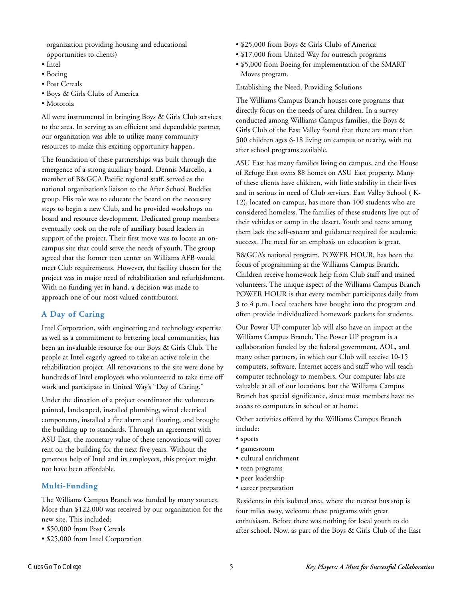organization providing housing and educational opportunities to clients)

- Intel
- Boeing
- Post Cereals
- Boys & Girls Clubs of America
- Motorola

All were instrumental in bringing Boys & Girls Club services to the area. In serving as an efficient and dependable partner, our organization was able to utilize many community resources to make this exciting opportunity happen.

The foundation of these partnerships was built through the emergence of a strong auxiliary board. Dennis Marcello, a member of B&GCA Pacific regional staff, served as the national organization's liaison to the After School Buddies group. His role was to educate the board on the necessary steps to begin a new Club, and he provided workshops on board and resource development. Dedicated group members eventually took on the role of auxiliary board leaders in support of the project. Their first move was to locate an oncampus site that could serve the needs of youth. The group agreed that the former teen center on Williams AFB would meet Club requirements. However, the facility chosen for the project was in major need of rehabilitation and refurbishment. With no funding yet in hand, a decision was made to approach one of our most valued contributors.

#### **A Day of Caring**

Intel Corporation, with engineering and technology expertise as well as a commitment to bettering local communities, has been an invaluable resource for our Boys & Girls Club. The people at Intel eagerly agreed to take an active role in the rehabilitation project. All renovations to the site were done by hundreds of Intel employees who volunteered to take time off work and participate in United Way's "Day of Caring."

Under the direction of a project coordinator the volunteers painted, landscaped, installed plumbing, wired electrical components, installed a fire alarm and flooring, and brought the building up to standards. Through an agreement with ASU East, the monetary value of these renovations will cover rent on the building for the next five years. Without the generous help of Intel and its employees, this project might not have been affordable.

#### **Multi-Funding**

The Williams Campus Branch was funded by many sources. More than \$122,000 was received by our organization for the new site. This included:

- \$50,000 from Post Cereals
- \$25,000 from Intel Corporation
- \$25,000 from Boys & Girls Clubs of America
- \$17,000 from United Way for outreach programs
- \$5,000 from Boeing for implementation of the SMART Moves program.

Establishing the Need, Providing Solutions

The Williams Campus Branch houses core programs that directly focus on the needs of area children. In a survey conducted among Williams Campus families, the Boys & Girls Club of the East Valley found that there are more than 500 children ages 6-18 living on campus or nearby, with no after school programs available.

ASU East has many families living on campus, and the House of Refuge East owns 88 homes on ASU East property. Many of these clients have children, with little stability in their lives and in serious in need of Club services. East Valley School ( K-12), located on campus, has more than 100 students who are considered homeless. The families of these students live out of their vehicles or camp in the desert. Youth and teens among them lack the self-esteem and guidance required for academic success. The need for an emphasis on education is great.

B&GCA's national program, POWER HOUR, has been the focus of programming at the Williams Campus Branch. Children receive homework help from Club staff and trained volunteers. The unique aspect of the Williams Campus Branch POWER HOUR is that every member participates daily from 3 to 4 p.m. Local teachers have bought into the program and often provide individualized homework packets for students.

Our Power UP computer lab will also have an impact at the Williams Campus Branch. The Power UP program is a collaboration funded by the federal government, AOL, and many other partners, in which our Club will receive 10-15 computers, software, Internet access and staff who will teach computer technology to members. Our computer labs are valuable at all of our locations, but the Williams Campus Branch has special significance, since most members have no access to computers in school or at home.

Other activities offered by the Williams Campus Branch include:

- sports
- gamesroom
- cultural enrichment
- teen programs
- peer leadership
- career preparation

Residents in this isolated area, where the nearest bus stop is four miles away, welcome these programs with great enthusiasm. Before there was nothing for local youth to do after school. Now, as part of the Boys & Girls Club of the East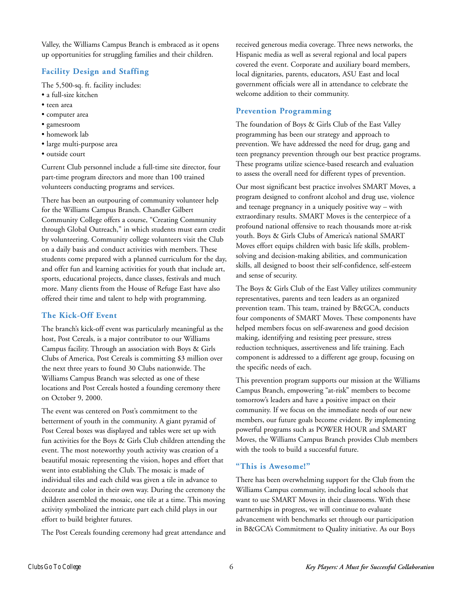Valley, the Williams Campus Branch is embraced as it opens up opportunities for struggling families and their children.

#### **Facility Design and Staffing**

The 5,500-sq. ft. facility includes:

- a full-size kitchen
- teen area
- computer area
- gamesroom
- homework lab
- large multi-purpose area
- outside court

Current Club personnel include a full-time site director, four part-time program directors and more than 100 trained volunteers conducting programs and services.

There has been an outpouring of community volunteer help for the Williams Campus Branch. Chandler Gilbert Community College offers a course, "Creating Community through Global Outreach," in which students must earn credit by volunteering. Community college volunteers visit the Club on a daily basis and conduct activities with members. These students come prepared with a planned curriculum for the day, and offer fun and learning activities for youth that include art, sports, educational projects, dance classes, festivals and much more. Many clients from the House of Refuge East have also offered their time and talent to help with programming.

#### **The Kick-Off Event**

The branch's kick-off event was particularly meaningful as the host, Post Cereals, is a major contributor to our Williams Campus facility. Through an association with Boys & Girls Clubs of America, Post Cereals is committing \$3 million over the next three years to found 30 Clubs nationwide. The Williams Campus Branch was selected as one of these locations and Post Cereals hosted a founding ceremony there on October 9, 2000.

The event was centered on Post's commitment to the betterment of youth in the community. A giant pyramid of Post Cereal boxes was displayed and tables were set up with fun activities for the Boys & Girls Club children attending the event. The most noteworthy youth activity was creation of a beautiful mosaic representing the vision, hopes and effort that went into establishing the Club. The mosaic is made of individual tiles and each child was given a tile in advance to decorate and color in their own way. During the ceremony the children assembled the mosaic, one tile at a time. This moving activity symbolized the intricate part each child plays in our effort to build brighter futures.

The Post Cereals founding ceremony had great attendance and

received generous media coverage. Three news networks, the Hispanic media as well as several regional and local papers covered the event. Corporate and auxiliary board members, local dignitaries, parents, educators, ASU East and local government officials were all in attendance to celebrate the welcome addition to their community.

#### **Prevention Programming**

The foundation of Boys & Girls Club of the East Valley programming has been our strategy and approach to prevention. We have addressed the need for drug, gang and teen pregnancy prevention through our best practice programs. These programs utilize science-based research and evaluation to assess the overall need for different types of prevention.

Our most significant best practice involves SMART Moves, a program designed to confront alcohol and drug use, violence and teenage pregnancy in a uniquely positive way – with extraordinary results. SMART Moves is the centerpiece of a profound national offensive to reach thousands more at-risk youth. Boys & Girls Clubs of America's national SMART Moves effort equips children with basic life skills, problemsolving and decision-making abilities, and communication skills, all designed to boost their self-confidence, self-esteem and sense of security.

The Boys & Girls Club of the East Valley utilizes community representatives, parents and teen leaders as an organized prevention team. This team, trained by B&GCA, conducts four components of SMART Moves. These components have helped members focus on self-awareness and good decision making, identifying and resisting peer pressure, stress reduction techniques, assertiveness and life training. Each component is addressed to a different age group, focusing on the specific needs of each.

This prevention program supports our mission at the Williams Campus Branch, empowering "at-risk" members to become tomorrow's leaders and have a positive impact on their community. If we focus on the immediate needs of our new members, our future goals become evident. By implementing powerful programs such as POWER HOUR and SMART Moves, the Williams Campus Branch provides Club members with the tools to build a successful future.

#### **"This is Awesome!"**

There has been overwhelming support for the Club from the Williams Campus community, including local schools that want to use SMART Moves in their classrooms. With these partnerships in progress, we will continue to evaluate advancement with benchmarks set through our participation in B&GCA's Commitment to Quality initiative. As our Boys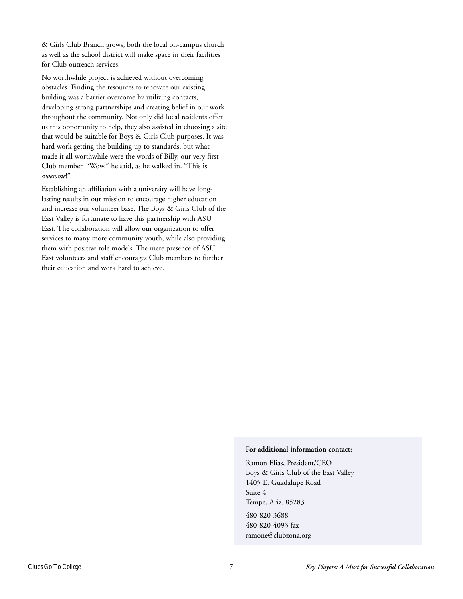& Girls Club Branch grows, both the local on-campus church as well as the school district will make space in their facilities for Club outreach services.

No worthwhile project is achieved without overcoming obstacles. Finding the resources to renovate our existing building was a barrier overcome by utilizing contacts, developing strong partnerships and creating belief in our work throughout the community. Not only did local residents offer us this opportunity to help, they also assisted in choosing a site that would be suitable for Boys & Girls Club purposes. It was hard work getting the building up to standards, but what made it all worthwhile were the words of Billy, our very first Club member. "Wow," he said, as he walked in. "This is *awesome*!"

Establishing an affiliation with a university will have longlasting results in our mission to encourage higher education and increase our volunteer base. The Boys & Girls Club of the East Valley is fortunate to have this partnership with ASU East. The collaboration will allow our organization to offer services to many more community youth, while also providing them with positive role models. The mere presence of ASU East volunteers and staff encourages Club members to further their education and work hard to achieve.

#### **For additional information contact:**

Ramon Elias, President/CEO Boys & Girls Club of the East Valley 1405 E. Guadalupe Road Suite 4 Tempe, Ariz. 85283 480-820-3688 480-820-4093 fax

ramone@clubzona.org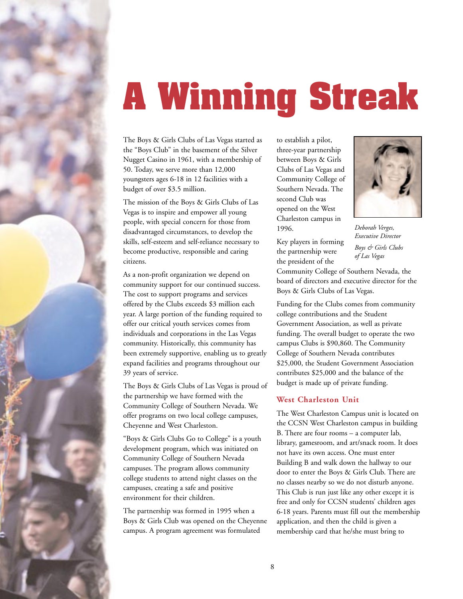<span id="page-11-0"></span>

# **A Winning Streak**

The Boys & Girls Clubs of Las Vegas started as the "Boys Club" in the basement of the Silver Nugget Casino in 1961, with a membership of 50. Today, we serve more than 12,000 youngsters ages 6-18 in 12 facilities with a budget of over \$3.5 million.

The mission of the Boys & Girls Clubs of Las Vegas is to inspire and empower all young people, with special concern for those from disadvantaged circumstances, to develop the skills, self-esteem and self-reliance necessary to become productive, responsible and caring citizens.

As a non-profit organization we depend on community support for our continued success. The cost to support programs and services offered by the Clubs exceeds \$3 million each year. A large portion of the funding required to offer our critical youth services comes from individuals and corporations in the Las Vegas community. Historically, this community has been extremely supportive, enabling us to greatly expand facilities and programs throughout our 39 years of service.

The Boys & Girls Clubs of Las Vegas is proud of the partnership we have formed with the Community College of Southern Nevada. We offer programs on two local college campuses, Cheyenne and West Charleston.

"Boys & Girls Clubs Go to College" is a youth development program, which was initiated on Community College of Southern Nevada campuses. The program allows community college students to attend night classes on the campuses, creating a safe and positive environment for their children.

The partnership was formed in 1995 when a Boys & Girls Club was opened on the Cheyenne campus. A program agreement was formulated

to establish a pilot, three-year partnership between Boys & Girls Clubs of Las Vegas and Community College of Southern Nevada. The second Club was opened on the West Charleston campus in 1996.

Key players in forming the partnership were



*Deborah Verges, Executive Director Boys & Girls Clubs of Las Vegas*

the president of the Community College of Southern Nevada, the board of directors and executive director for the Boys & Girls Clubs of Las Vegas.

Funding for the Clubs comes from community college contributions and the Student Government Association, as well as private funding. The overall budget to operate the two campus Clubs is \$90,860. The Community College of Southern Nevada contributes \$25,000, the Student Government Association contributes \$25,000 and the balance of the budget is made up of private funding.

#### **West Charleston Unit**

The West Charleston Campus unit is located on the CCSN West Charleston campus in building B. There are four rooms – a computer lab, library, gamesroom, and art/snack room. It does not have its own access. One must enter Building B and walk down the hallway to our door to enter the Boys & Girls Club. There are no classes nearby so we do not disturb anyone. This Club is run just like any other except it is free and only for CCSN students' children ages 6-18 years. Parents must fill out the membership application, and then the child is given a membership card that he/she must bring to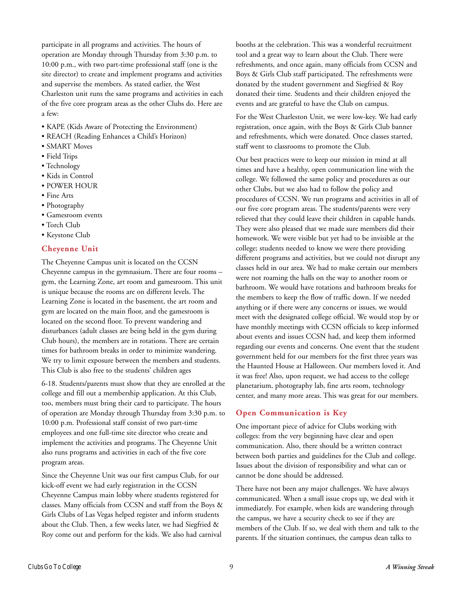participate in all programs and activities. The hours of operation are Monday through Thursday from 3:30 p.m. to 10:00 p.m., with two part-time professional staff (one is the site director) to create and implement programs and activities and supervise the members. As stated earlier, the West Charleston unit runs the same programs and activities in each of the five core program areas as the other Clubs do. Here are a few:

- KAPE (Kids Aware of Protecting the Environment)
- REACH (Reading Enhances a Child's Horizon)
- SMART Moves
- Field Trips
- Technology
- Kids in Control
- POWER HOUR
- Fine Arts
- Photography
- Gamesroom events
- Torch Club
- Keystone Club

#### **Cheyenne Unit**

The Cheyenne Campus unit is located on the CCSN Cheyenne campus in the gymnasium. There are four rooms – gym, the Learning Zone, art room and gamesroom. This unit is unique because the rooms are on different levels. The Learning Zone is located in the basement, the art room and gym are located on the main floor, and the gamesroom is located on the second floor. To prevent wandering and disturbances (adult classes are being held in the gym during Club hours), the members are in rotations. There are certain times for bathroom breaks in order to minimize wandering. We try to limit exposure between the members and students. This Club is also free to the students' children ages

6-18. Students/parents must show that they are enrolled at the college and fill out a membership application. At this Club, too, members must bring their card to participate. The hours of operation are Monday through Thursday from 3:30 p.m. to 10:00 p.m. Professional staff consist of two part-time employees and one full-time site director who create and implement the activities and programs. The Cheyenne Unit also runs programs and activities in each of the five core program areas.

Since the Cheyenne Unit was our first campus Club, for our kick-off event we had early registration in the CCSN Cheyenne Campus main lobby where students registered for classes. Many officials from CCSN and staff from the Boys & Girls Clubs of Las Vegas helped register and inform students about the Club. Then, a few weeks later, we had Siegfried & Roy come out and perform for the kids. We also had carnival

booths at the celebration. This was a wonderful recruitment tool and a great way to learn about the Club. There were refreshments, and once again, many officials from CCSN and Boys & Girls Club staff participated. The refreshments were donated by the student government and Siegfried & Roy donated their time. Students and their children enjoyed the events and are grateful to have the Club on campus.

For the West Charleston Unit, we were low-key. We had early registration, once again, with the Boys & Girls Club banner and refreshments, which were donated. Once classes started, staff went to classrooms to promote the Club.

Our best practices were to keep our mission in mind at all times and have a healthy, open communication line with the college. We followed the same policy and procedures as our other Clubs, but we also had to follow the policy and procedures of CCSN. We run programs and activities in all of our five core program areas. The students/parents were very relieved that they could leave their children in capable hands. They were also pleased that we made sure members did their homework. We were visible but yet had to be invisible at the college; students needed to know we were there providing different programs and activities, but we could not disrupt any classes held in our area. We had to make certain our members were not roaming the halls on the way to another room or bathroom. We would have rotations and bathroom breaks for the members to keep the flow of traffic down. If we needed anything or if there were any concerns or issues, we would meet with the designated college official. We would stop by or have monthly meetings with CCSN officials to keep informed about events and issues CCSN had, and keep them informed regarding our events and concerns. One event that the student government held for our members for the first three years was the Haunted House at Halloween. Our members loved it. And it was free! Also, upon request, we had access to the college planetarium, photography lab, fine arts room, technology center, and many more areas. This was great for our members.

#### **Open Communication is Key**

One important piece of advice for Clubs working with colleges: from the very beginning have clear and open communication. Also, there should be a written contract between both parties and guidelines for the Club and college. Issues about the division of responsibility and what can or cannot be done should be addressed.

There have not been any major challenges. We have always communicated. When a small issue crops up, we deal with it immediately. For example, when kids are wandering through the campus, we have a security check to see if they are members of the Club. If so, we deal with them and talk to the parents. If the situation continues, the campus dean talks to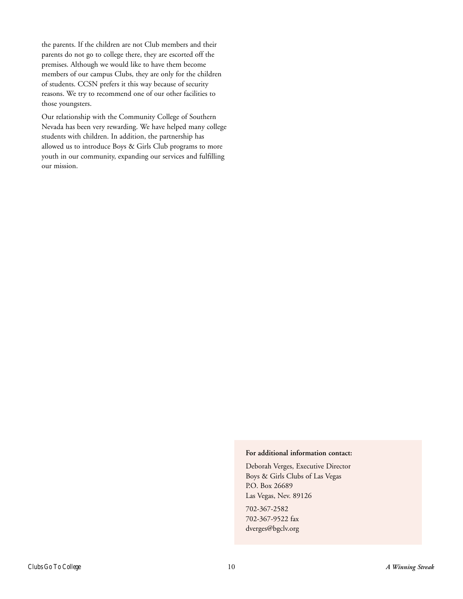the parents. If the children are not Club members and their parents do not go to college there, they are escorted off the premises. Although we would like to have them become members of our campus Clubs, they are only for the children of students. CCSN prefers it this way because of security reasons. We try to recommend one of our other facilities to those youngsters.

Our relationship with the Community College of Southern Nevada has been very rewarding. We have helped many college students with children. In addition, the partnership has allowed us to introduce Boys & Girls Club programs to more youth in our community, expanding our services and fulfilling our mission.

#### **For additional information contact:**

Deborah Verges, Executive Director Boys & Girls Clubs of Las Vegas P.O. Box 26689 Las Vegas, Nev. 89126

702-367-2582 702-367-9522 fax dverges@bgclv.org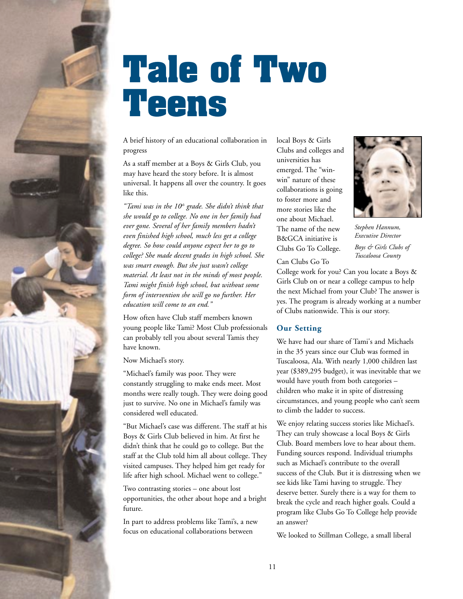<span id="page-14-0"></span>

### **Tale of Two Teens**

A brief history of an educational collaboration in progress

As a staff member at a Boys & Girls Club, you may have heard the story before. It is almost universal. It happens all over the country. It goes like this.

"Tami was in the 10<sup>th</sup> grade. She didn't think that *she would go to college. No one in her family had ever gone. Several of her family members hadn't even finished high school, much less get a college degree. So how could anyone expect her to go to college? She made decent grades in high school. She was smart enough. But she just wasn't college material. At least not in the minds of most people. Tami might finish high school, but without some form of intervention she will go no further. Her education will come to an end."*

How often have Club staff members known young people like Tami? Most Club professionals can probably tell you about several Tamis they have known.

Now Michael's story.

"Michael's family was poor. They were constantly struggling to make ends meet. Most months were really tough. They were doing good just to survive. No one in Michael's family was considered well educated.

"But Michael's case was different. The staff at his Boys & Girls Club believed in him. At first he didn't think that he could go to college. But the staff at the Club told him all about college. They visited campuses. They helped him get ready for life after high school. Michael went to college."

Two contrasting stories – one about lost opportunities, the other about hope and a bright future.

In part to address problems like Tami's, a new focus on educational collaborations between

local Boys & Girls Clubs and colleges and universities has emerged. The "winwin" nature of these collaborations is going to foster more and more stories like the one about Michael. The name of the new B&GCA initiative is Clubs Go To College.



*Stephen Hannum, Executive Director Boys & Girls Clubs of Tuscaloosa County*

College work for you? Can you locate a Boys & Girls Club on or near a college campus to help the next Michael from your Club? The answer is yes. The program is already working at a number of Clubs nationwide. This is our story.

#### **Our Setting**

Can Clubs Go To

We have had our share of Tami's and Michaels in the 35 years since our Club was formed in Tuscaloosa, Ala. With nearly 1,000 children last year (\$389,295 budget), it was inevitable that we would have youth from both categories – children who make it in spite of distressing circumstances, and young people who can't seem to climb the ladder to success.

We enjoy relating success stories like Michael's. They can truly showcase a local Boys & Girls Club. Board members love to hear about them. Funding sources respond. Individual triumphs such as Michael's contribute to the overall success of the Club. But it is distressing when we see kids like Tami having to struggle. They deserve better. Surely there is a way for them to break the cycle and reach higher goals. Could a program like Clubs Go To College help provide an answer?

We looked to Stillman College, a small liberal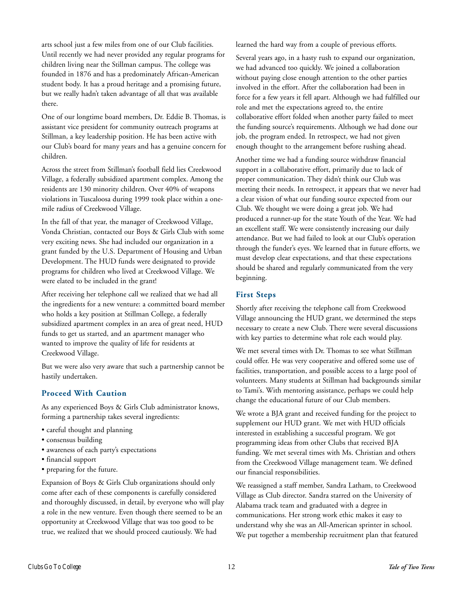arts school just a few miles from one of our Club facilities. Until recently we had never provided any regular programs for children living near the Stillman campus. The college was founded in 1876 and has a predominately African-American student body. It has a proud heritage and a promising future, but we really hadn't taken advantage of all that was available there.

One of our longtime board members, Dr. Eddie B. Thomas, is assistant vice president for community outreach programs at Stillman, a key leadership position. He has been active with our Club's board for many years and has a genuine concern for children.

Across the street from Stillman's football field lies Creekwood Village, a federally subsidized apartment complex. Among the residents are 130 minority children. Over 40% of weapons violations in Tuscaloosa during 1999 took place within a onemile radius of Creekwood Village.

In the fall of that year, the manager of Creekwood Village, Vonda Christian, contacted our Boys & Girls Club with some very exciting news. She had included our organization in a grant funded by the U.S. Department of Housing and Urban Development. The HUD funds were designated to provide programs for children who lived at Creekwood Village. We were elated to be included in the grant!

After receiving her telephone call we realized that we had all the ingredients for a new venture: a committed board member who holds a key position at Stillman College, a federally subsidized apartment complex in an area of great need, HUD funds to get us started, and an apartment manager who wanted to improve the quality of life for residents at Creekwood Village.

But we were also very aware that such a partnership cannot be hastily undertaken.

#### **Proceed With Caution**

As any experienced Boys & Girls Club administrator knows, forming a partnership takes several ingredients:

- careful thought and planning
- consensus building
- awareness of each party's expectations
- financial support
- preparing for the future.

Expansion of Boys & Girls Club organizations should only come after each of these components is carefully considered and thoroughly discussed, in detail, by everyone who will play a role in the new venture. Even though there seemed to be an opportunity at Creekwood Village that was too good to be true, we realized that we should proceed cautiously. We had

learned the hard way from a couple of previous efforts.

Several years ago, in a hasty rush to expand our organization, we had advanced too quickly. We joined a collaboration without paying close enough attention to the other parties involved in the effort. After the collaboration had been in force for a few years it fell apart. Although we had fulfilled our role and met the expectations agreed to, the entire collaborative effort folded when another party failed to meet the funding source's requirements. Although we had done our job, the program ended. In retrospect, we had not given enough thought to the arrangement before rushing ahead.

Another time we had a funding source withdraw financial support in a collaborative effort, primarily due to lack of proper communication. They didn't think our Club was meeting their needs. In retrospect, it appears that we never had a clear vision of what our funding source expected from our Club. We thought we were doing a great job. We had produced a runner-up for the state Youth of the Year. We had an excellent staff. We were consistently increasing our daily attendance. But we had failed to look at our Club's operation through the funder's eyes. We learned that in future efforts, we must develop clear expectations, and that these expectations should be shared and regularly communicated from the very beginning.

#### **First Steps**

Shortly after receiving the telephone call from Creekwood Village announcing the HUD grant, we determined the steps necessary to create a new Club. There were several discussions with key parties to determine what role each would play.

We met several times with Dr. Thomas to see what Stillman could offer. He was very cooperative and offered some use of facilities, transportation, and possible access to a large pool of volunteers. Many students at Stillman had backgrounds similar to Tami's. With mentoring assistance, perhaps we could help change the educational future of our Club members.

We wrote a BJA grant and received funding for the project to supplement our HUD grant. We met with HUD officials interested in establishing a successful program. We got programming ideas from other Clubs that received BJA funding. We met several times with Ms. Christian and others from the Creekwood Village management team. We defined our financial responsibilities.

We reassigned a staff member, Sandra Latham, to Creekwood Village as Club director. Sandra starred on the University of Alabama track team and graduated with a degree in communications. Her strong work ethic makes it easy to understand why she was an All-American sprinter in school. We put together a membership recruitment plan that featured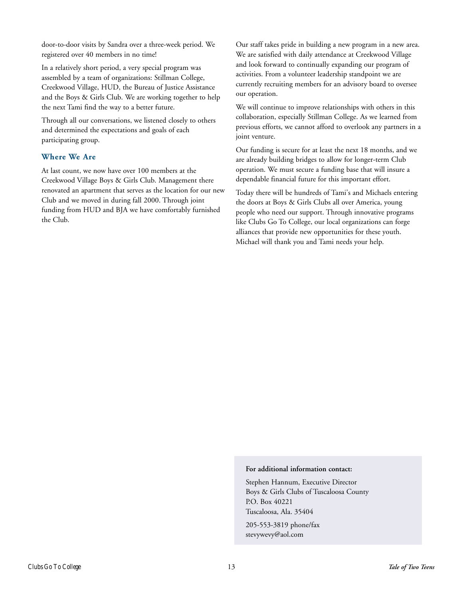door-to-door visits by Sandra over a three-week period. We registered over 40 members in no time!

In a relatively short period, a very special program was assembled by a team of organizations: Stillman College, Creekwood Village, HUD, the Bureau of Justice Assistance and the Boys & Girls Club. We are working together to help the next Tami find the way to a better future.

Through all our conversations, we listened closely to others and determined the expectations and goals of each participating group.

#### **Where We Are**

At last count, we now have over 100 members at the Creekwood Village Boys & Girls Club. Management there renovated an apartment that serves as the location for our new Club and we moved in during fall 2000. Through joint funding from HUD and BJA we have comfortably furnished the Club.

Our staff takes pride in building a new program in a new area. We are satisfied with daily attendance at Creekwood Village and look forward to continually expanding our program of activities. From a volunteer leadership standpoint we are currently recruiting members for an advisory board to oversee our operation.

We will continue to improve relationships with others in this collaboration, especially Stillman College. As we learned from previous efforts, we cannot afford to overlook any partners in a joint venture.

Our funding is secure for at least the next 18 months, and we are already building bridges to allow for longer-term Club operation. We must secure a funding base that will insure a dependable financial future for this important effort.

Today there will be hundreds of Tami's and Michaels entering the doors at Boys & Girls Clubs all over America, young people who need our support. Through innovative programs like Clubs Go To College, our local organizations can forge alliances that provide new opportunities for these youth. Michael will thank you and Tami needs your help.

#### **For additional information contact:**

Stephen Hannum, Executive Director Boys & Girls Clubs of Tuscaloosa County P.O. Box 40221 Tuscaloosa, Ala. 35404

205-553-3819 phone/fax stevywevy@aol.com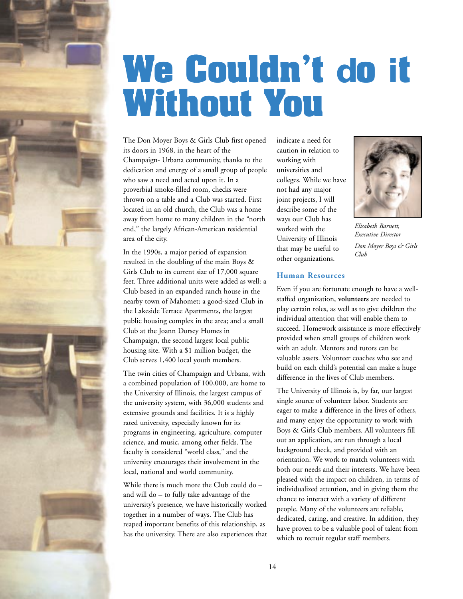<span id="page-17-0"></span>

### **We Couldn't do it Without You**

The Don Moyer Boys & Girls Club first opened its doors in 1968, in the heart of the Champaign- Urbana community, thanks to the dedication and energy of a small group of people who saw a need and acted upon it. In a proverbial smoke-filled room, checks were thrown on a table and a Club was started. First located in an old church, the Club was a home away from home to many children in the "north end," the largely African-American residential area of the city.

In the 1990s, a major period of expansion resulted in the doubling of the main Boys & Girls Club to its current size of 17,000 square feet. Three additional units were added as well: a Club based in an expanded ranch house in the nearby town of Mahomet; a good-sized Club in the Lakeside Terrace Apartments, the largest public housing complex in the area; and a small Club at the Joann Dorsey Homes in Champaign, the second largest local public housing site. With a \$1 million budget, the Club serves 1,400 local youth members.

The twin cities of Champaign and Urbana, with a combined population of 100,000, are home to the University of Illinois, the largest campus of the university system, with 36,000 students and extensive grounds and facilities. It is a highly rated university, especially known for its programs in engineering, agriculture, computer science, and music, among other fields. The faculty is considered "world class," and the university encourages their involvement in the local, national and world community.

While there is much more the Club could do – and will do – to fully take advantage of the university's presence, we have historically worked together in a number of ways. The Club has reaped important benefits of this relationship, as has the university. There are also experiences that indicate a need for caution in relation to working with universities and colleges. While we have not had any major joint projects, I will describe some of the ways our Club has worked with the University of Illinois that may be useful to other organizations.

#### **Human Resources**

Even if you are fortunate enough to have a wellstaffed organization, **volunteers** are needed to play certain roles, as well as to give children the individual attention that will enable them to succeed. Homework assistance is more effectively provided when small groups of children work with an adult. Mentors and tutors can be valuable assets. Volunteer coaches who see and build on each child's potential can make a huge difference in the lives of Club members.

The University of Illinois is, by far, our largest single source of volunteer labor. Students are eager to make a difference in the lives of others, and many enjoy the opportunity to work with Boys & Girls Club members. All volunteers fill out an application, are run through a local background check, and provided with an orientation. We work to match volunteers with both our needs and their interests. We have been pleased with the impact on children, in terms of individualized attention, and in giving them the chance to interact with a variety of different people. Many of the volunteers are reliable, dedicated, caring, and creative. In addition, they have proven to be a valuable pool of talent from which to recruit regular staff members.



*Elisabeth Barnett, Executive Director Don Moyer Boys & Girls Club*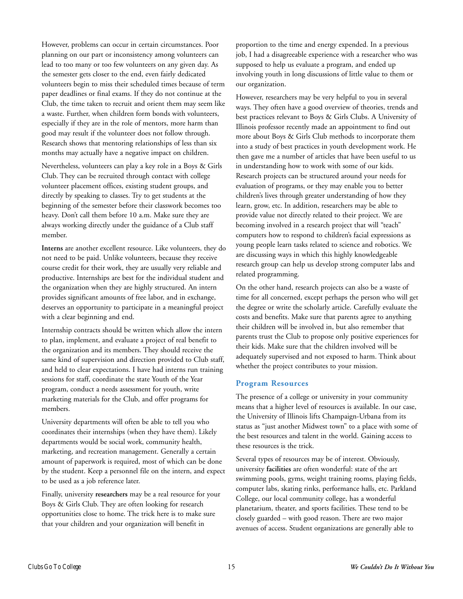However, problems can occur in certain circumstances. Poor planning on our part or inconsistency among volunteers can lead to too many or too few volunteers on any given day. As the semester gets closer to the end, even fairly dedicated volunteers begin to miss their scheduled times because of term paper deadlines or final exams. If they do not continue at the Club, the time taken to recruit and orient them may seem like a waste. Further, when children form bonds with volunteers, especially if they are in the role of mentors, more harm than good may result if the volunteer does not follow through. Research shows that mentoring relationships of less than six months may actually have a negative impact on children.

Nevertheless, volunteers can play a key role in a Boys & Girls Club. They can be recruited through contact with college volunteer placement offices, existing student groups, and directly by speaking to classes. Try to get students at the beginning of the semester before their classwork becomes too heavy. Don't call them before 10 a.m. Make sure they are always working directly under the guidance of a Club staff member.

**Interns** are another excellent resource. Like volunteers, they do not need to be paid. Unlike volunteers, because they receive course credit for their work, they are usually very reliable and productive. Internships are best for the individual student and the organization when they are highly structured. An intern provides significant amounts of free labor, and in exchange, deserves an opportunity to participate in a meaningful project with a clear beginning and end.

Internship contracts should be written which allow the intern to plan, implement, and evaluate a project of real benefit to the organization and its members. They should receive the same kind of supervision and direction provided to Club staff, and held to clear expectations. I have had interns run training sessions for staff, coordinate the state Youth of the Year program, conduct a needs assessment for youth, write marketing materials for the Club, and offer programs for members.

University departments will often be able to tell you who coordinates their internships (when they have them). Likely departments would be social work, community health, marketing, and recreation management. Generally a certain amount of paperwork is required, most of which can be done by the student. Keep a personnel file on the intern, and expect to be used as a job reference later.

Finally, university **researchers** may be a real resource for your Boys & Girls Club. They are often looking for research opportunities close to home. The trick here is to make sure that your children and your organization will benefit in

proportion to the time and energy expended. In a previous job, I had a disagreeable experience with a researcher who was supposed to help us evaluate a program, and ended up involving youth in long discussions of little value to them or our organization.

However, researchers may be very helpful to you in several ways. They often have a good overview of theories, trends and best practices relevant to Boys & Girls Clubs. A University of Illinois professor recently made an appointment to find out more about Boys & Girls Club methods to incorporate them into a study of best practices in youth development work. He then gave me a number of articles that have been useful to us in understanding how to work with some of our kids. Research projects can be structured around your needs for evaluation of programs, or they may enable you to better children's lives through greater understanding of how they learn, grow, etc. In addition, researchers may be able to provide value not directly related to their project. We are becoming involved in a research project that will "teach" computers how to respond to children's facial expressions as young people learn tasks related to science and robotics. We are discussing ways in which this highly knowledgeable research group can help us develop strong computer labs and related programming.

On the other hand, research projects can also be a waste of time for all concerned, except perhaps the person who will get the degree or write the scholarly article. Carefully evaluate the costs and benefits. Make sure that parents agree to anything their children will be involved in, but also remember that parents trust the Club to propose only positive experiences for their kids. Make sure that the children involved will be adequately supervised and not exposed to harm. Think about whether the project contributes to your mission.

#### **Program Resources**

The presence of a college or university in your community means that a higher level of resources is available. In our case, the University of Illinois lifts Champaign-Urbana from its status as "just another Midwest town" to a place with some of the best resources and talent in the world. Gaining access to these resources is the trick.

Several types of resources may be of interest. Obviously, university **facilities** are often wonderful: state of the art swimming pools, gyms, weight training rooms, playing fields, computer labs, skating rinks, performance halls, etc. Parkland College, our local community college, has a wonderful planetarium, theater, and sports facilities. These tend to be closely guarded – with good reason. There are two major avenues of access. Student organizations are generally able to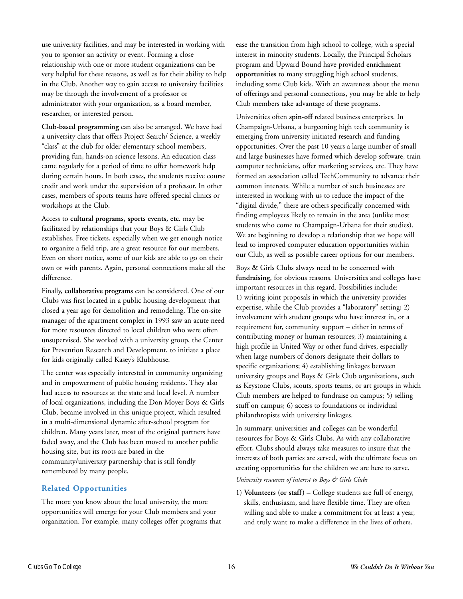use university facilities, and may be interested in working with you to sponsor an activity or event. Forming a close relationship with one or more student organizations can be very helpful for these reasons, as well as for their ability to help in the Club. Another way to gain access to university facilities may be through the involvement of a professor or administrator with your organization, as a board member, researcher, or interested person.

**Club-based programming** can also be arranged. We have had a university class that offers Project Search/ Science, a weekly "class" at the club for older elementary school members, providing fun, hands-on science lessons. An education class came regularly for a period of time to offer homework help during certain hours. In both cases, the students receive course credit and work under the supervision of a professor. In other cases, members of sports teams have offered special clinics or workshops at the Club.

Access to **cultural programs, sports events, etc.** may be facilitated by relationships that your Boys & Girls Club establishes. Free tickets, especially when we get enough notice to organize a field trip, are a great resource for our members. Even on short notice, some of our kids are able to go on their own or with parents. Again, personal connections make all the difference.

Finally, **collaborative programs** can be considered. One of our Clubs was first located in a public housing development that closed a year ago for demolition and remodeling. The on-site manager of the apartment complex in 1993 saw an acute need for more resources directed to local children who were often unsupervised. She worked with a university group, the Center for Prevention Research and Development, to initiate a place for kids originally called Kasey's Klubhouse.

The center was especially interested in community organizing and in empowerment of public housing residents. They also had access to resources at the state and local level. A number of local organizations, including the Don Moyer Boys & Girls Club, became involved in this unique project, which resulted in a multi-dimensional dynamic after-school program for children. Many years later, most of the original partners have faded away, and the Club has been moved to another public housing site, but its roots are based in the community/university partnership that is still fondly remembered by many people.

#### **Related Opportunities**

The more you know about the local university, the more opportunities will emerge for your Club members and your organization. For example, many colleges offer programs that

ease the transition from high school to college, with a special interest in minority students. Locally, the Principal Scholars program and Upward Bound have provided **enrichment opportunities** to many struggling high school students, including some Club kids. With an awareness about the menu of offerings and personal connections, you may be able to help Club members take advantage of these programs.

Universities often **spin-off** related business enterprises. In Champaign-Urbana, a burgeoning high tech community is emerging from university initiated research and funding opportunities. Over the past 10 years a large number of small and large businesses have formed which develop software, train computer technicians, offer marketing services, etc. They have formed an association called TechCommunity to advance their common interests. While a number of such businesses are interested in working with us to reduce the impact of the "digital divide," there are others specifically concerned with finding employees likely to remain in the area (unlike most students who come to Champaign-Urbana for their studies). We are beginning to develop a relationship that we hope will lead to improved computer education opportunities within our Club, as well as possible career options for our members.

Boys & Girls Clubs always need to be concerned with **fundraising**, for obvious reasons. Universities and colleges have important resources in this regard. Possibilities include: 1) writing joint proposals in which the university provides expertise, while the Club provides a "laboratory" setting; 2) involvement with student groups who have interest in, or a requirement for, community support – either in terms of contributing money or human resources; 3) maintaining a high profile in United Way or other fund drives, especially when large numbers of donors designate their dollars to specific organizations; 4) establishing linkages between university groups and Boys & Girls Club organizations, such as Keystone Clubs, scouts, sports teams, or art groups in which Club members are helped to fundraise on campus; 5) selling stuff on campus; 6) access to foundations or individual philanthropists with university linkages.

In summary, universities and colleges can be wonderful resources for Boys & Girls Clubs. As with any collaborative effort, Clubs should always take measures to insure that the interests of both parties are served, with the ultimate focus on creating opportunities for the children we are here to serve.

#### *University resources of interest to Boys & Girls Clubs*

1) **Volunteers (or staff)** – College students are full of energy, skills, enthusiasm, and have flexible time. They are often willing and able to make a commitment for at least a year, and truly want to make a difference in the lives of others.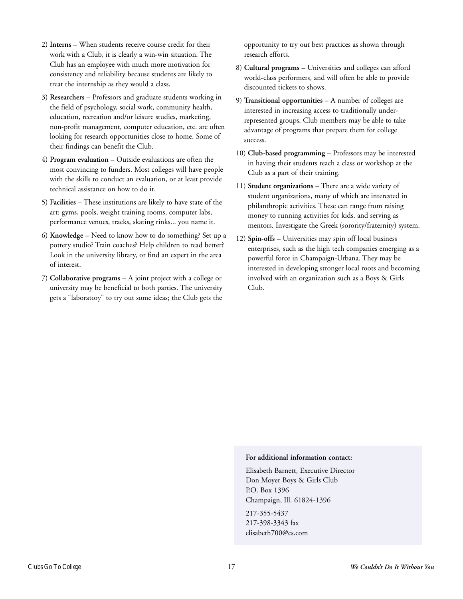- 2) **Interns** When students receive course credit for their work with a Club, it is clearly a win-win situation. The Club has an employee with much more motivation for consistency and reliability because students are likely to treat the internship as they would a class.
- 3) **Researchers** Professors and graduate students working in the field of psychology, social work, community health, education, recreation and/or leisure studies, marketing, non-profit management, computer education, etc. are often looking for research opportunities close to home. Some of their findings can benefit the Club.
- 4) **Program evaluation** Outside evaluations are often the most convincing to funders. Most colleges will have people with the skills to conduct an evaluation, or at least provide technical assistance on how to do it.
- 5) **Facilities** These institutions are likely to have state of the art: gyms, pools, weight training rooms, computer labs, performance venues, tracks, skating rinks... you name it.
- 6) **Knowledge** Need to know how to do something? Set up a pottery studio? Train coaches? Help children to read better? Look in the university library, or find an expert in the area of interest.
- 7) **Collaborative programs** A joint project with a college or university may be beneficial to both parties. The university gets a "laboratory" to try out some ideas; the Club gets the

opportunity to try out best practices as shown through research efforts.

- 8) **Cultural programs** Universities and colleges can afford world-class performers, and will often be able to provide discounted tickets to shows.
- 9) **Transitional opportunities** A number of colleges are interested in increasing access to traditionally underrepresented groups. Club members may be able to take advantage of programs that prepare them for college success.
- 10) **Club-based programming** Professors may be interested in having their students teach a class or workshop at the Club as a part of their training.
- 11) **Student organizations** There are a wide variety of student organizations, many of which are interested in philanthropic activities. These can range from raising money to running activities for kids, and serving as mentors. Investigate the Greek (sorority/fraternity) system.
- 12) **Spin-offs** Universities may spin off local business enterprises, such as the high tech companies emerging as a powerful force in Champaign-Urbana. They may be interested in developing stronger local roots and becoming involved with an organization such as a Boys & Girls Club.

#### **For additional information contact:**

Elisabeth Barnett, Executive Director Don Moyer Boys & Girls Club P.O. Box 1396 Champaign, Ill. 61824-1396

217-355-5437 217-398-3343 fax elisabeth700@cs.com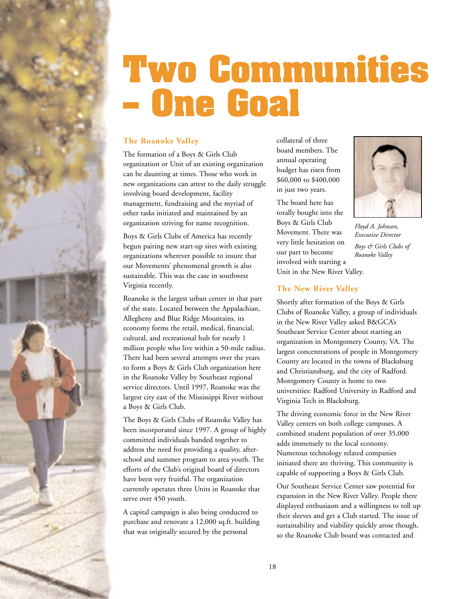<span id="page-21-0"></span>

### **Two Communities – One Goal**

#### **The Roanoke Valley**

The formation of a Boys & Girls Club organization or Unit of an existing organization can be daunting at times. Those who work in new organizations can attest to the daily struggle involving board development, facility management, fundraising and the myriad of other tasks initiated and maintained by an organization striving for name recognition.

Boys & Girls Clubs of America has recently begun pairing new start-up sites with existing organizations wherever possible to insure that our Movements' phenomenal growth is also sustainable. This was the case in southwest Virginia recently.

Roanoke is the largest urban center in that part of the state. Located between the Appalachian, Allegheny and Blue Ridge Mountains, its economy forms the retail, medical, financial, cultural, and recreational hub for nearly 1 million people who live within a 50-mile radius. There had been several attempts over the years to form a Boys & Girls Club organization here in the Roanoke Valley by Southeast regional service directors. Until 1997, Roanoke was the largest city east of the Mississippi River without a Boys & Girls Club.

The Boys & Girls Clubs of Roanoke Valley has been incorporated since 1997. A group of highly committed individuals banded together to address the need for providing a quality, afterschool and summer program to area youth. The efforts of the Club's original board of directors have been very fruitful. The organization currently operates three Units in Roanoke that serve over 450 youth.

A capital campaign is also being conducted to purchase and renovate a 12,000 sq.ft. building that was originally secured by the personal

collateral of three board members. The annual operating budget has risen from \$60,000 to \$400,000 in just two years.

The board here has totally bought into the Boys & Girls Club Movement. There was very little hesitation on our part to become involved with starting a Unit in the New River Valley.



*Floyd A. Johnson, Executive Director Boys & Girls Clubs of Roanoke Valley*

#### **The New River Valley**

Shortly after formation of the Boys & Girls Clubs of Roanoke Valley, a group of individuals in the New River Valley asked B&GCA's Southeast Service Center about starting an organization in Montgomery County, VA. The largest concentrations of people in Montgomery County are located in the towns of Blacksburg and Christiansburg, and the city of Radford. Montgomery County is home to two universities: Radford University in Radford and Virginia Tech in Blacksburg.

The driving economic force in the New River Valley centers on both college campuses. A combined student population of over 35,000 adds immensely to the local economy. Numerous technology related companies initiated there are thriving. This community is capable of supporting a Boys & Girls Club.

Our Southeast Service Center saw potential for expansion in the New River Valley. People there displayed enthusiasm and a willingness to roll up their sleeves and get a Club started. The issue of sustainability and viability quickly arose though, so the Roanoke Club board was contacted and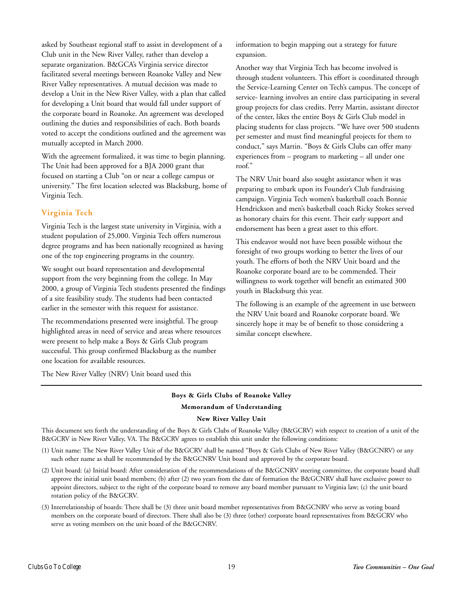asked by Southeast regional staff to assist in development of a Club unit in the New River Valley, rather than develop a separate organization. B&GCA's Virginia service director facilitated several meetings between Roanoke Valley and New River Valley representatives. A mutual decision was made to develop a Unit in the New River Valley, with a plan that called for developing a Unit board that would fall under support of the corporate board in Roanoke. An agreement was developed outlining the duties and responsibilities of each. Both boards voted to accept the conditions outlined and the agreement was mutually accepted in March 2000.

With the agreement formalized, it was time to begin planning. The Unit had been approved for a BJA 2000 grant that focused on starting a Club "on or near a college campus or university." The first location selected was Blacksburg, home of Virginia Tech.

#### **Virginia Tech**

Virginia Tech is the largest state university in Virginia, with a student population of 25,000. Virginia Tech offers numerous degree programs and has been nationally recognized as having one of the top engineering programs in the country.

We sought out board representation and developmental support from the very beginning from the college. In May 2000, a group of Virginia Tech students presented the findings of a site feasibility study. The students had been contacted earlier in the semester with this request for assistance.

The recommendations presented were insightful. The group highlighted areas in need of service and areas where resources were present to help make a Boys & Girls Club program successful. This group confirmed Blacksburg as the number one location for available resources.

information to begin mapping out a strategy for future expansion.

Another way that Virginia Tech has become involved is through student volunteers. This effort is coordinated through the Service-Learning Center on Tech's campus. The concept of service- learning involves an entire class participating in several group projects for class credits. Perry Martin, assistant director of the center, likes the entire Boys & Girls Club model in placing students for class projects. "We have over 500 students per semester and must find meaningful projects for them to conduct," says Martin. "Boys & Girls Clubs can offer many experiences from – program to marketing – all under one roof."

The NRV Unit board also sought assistance when it was preparing to embark upon its Founder's Club fundraising campaign. Virginia Tech women's basketball coach Bonnie Hendrickson and men's basketball coach Ricky Stokes served as honorary chairs for this event. Their early support and endorsement has been a great asset to this effort.

This endeavor would not have been possible without the foresight of two groups working to better the lives of our youth. The efforts of both the NRV Unit board and the Roanoke corporate board are to be commended. Their willingness to work together will benefit an estimated 300 youth in Blacksburg this year.

The following is an example of the agreement in use between the NRV Unit board and Roanoke corporate board. We sincerely hope it may be of benefit to those considering a similar concept elsewhere.

The New River Valley (NRV) Unit board used this

#### **Boys & Girls Clubs of Roanoke Valley Memorandum of Understanding**

#### **New River Valley Unit**

This document sets forth the understanding of the Boys & Girls Clubs of Roanoke Valley (B&GCRV) with respect to creation of a unit of the B&GCRV in New River Valley, VA. The B&GCRV agrees to establish this unit under the following conditions:

- (1) Unit name: The New River Valley Unit of the B&GCRV shall be named "Boys & Girls Clubs of New River Valley (B&GCNRV) or any such other name as shall be recommended by the B&GCNRV Unit board and approved by the corporate board.
- (2) Unit board: (a) Initial board: After consideration of the recommendations of the B&GCNRV steering committee, the corporate board shall approve the initial unit board members; (b) after (2) two years from the date of formation the B&GCNRV shall have exclusive power to appoint directors, subject to the right of the corporate board to remove any board member pursuant to Virginia law; (c) the unit board rotation policy of the B&GCRV.
- (3) Interrelationship of boards: There shall be (3) three unit board member representatives from B&GCNRV who serve as voting board members on the corporate board of directors. There shall also be (3) three (other) corporate board representatives from B&GCRV who serve as voting members on the unit board of the B&GCNRV.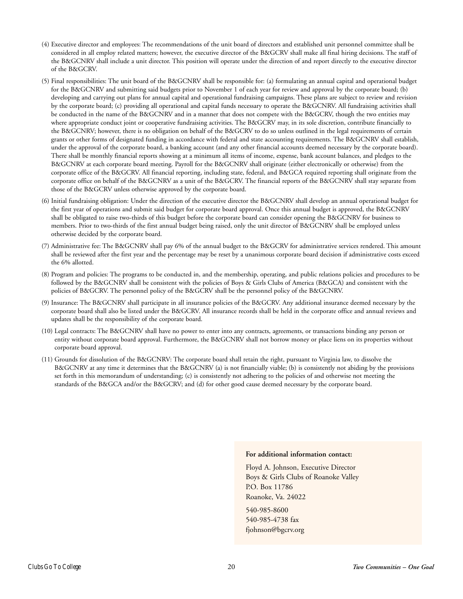- (4) Executive director and employees: The recommendations of the unit board of directors and established unit personnel committee shall be considered in all employ related matters; however, the executive director of the B&GCRV shall make all final hiring decisions. The staff of the B&GCNRV shall include a unit director. This position will operate under the direction of and report directly to the executive director of the B&GCRV.
- (5) Final responsibilities: The unit board of the B&GCNRV shall be responsible for: (a) formulating an annual capital and operational budget for the B&GCNRV and submitting said budgets prior to November 1 of each year for review and approval by the corporate board; (b) developing and carrying out plans for annual capital and operational fundraising campaigns. These plans are subject to review and revision by the corporate board; (c) providing all operational and capital funds necessary to operate the B&GCNRV. All fundraising activities shall be conducted in the name of the B&GCNRV and in a manner that does not compete with the B&GCRV, though the two entities may where appropriate conduct joint or cooperative fundraising activities. The B&GCRV may, in its sole discretion, contribute financially to the B&GCNRV; however, there is no obligation on behalf of the B&GCRV to do so unless outlined in the legal requirements of certain grants or other forms of designated funding in accordance with federal and state accounting requirements. The B&GCNRV shall establish, under the approval of the corporate board, a banking account (and any other financial accounts deemed necessary by the corporate board). There shall be monthly financial reports showing at a minimum all items of income, expense, bank account balances, and pledges to the B&GCNRV at each corporate board meeting. Payroll for the B&GCNRV shall originate (either electronically or otherwise) from the corporate office of the B&GCRV. All financial reporting, including state, federal, and B&GCA required reporting shall originate from the corporate office on behalf of the B&GCNRV as a unit of the B&GCRV. The financial reports of the B&GCNRV shall stay separate from those of the B&GCRV unless otherwise approved by the corporate board.
- (6) Initial fundraising obligation: Under the direction of the executive director the B&GCNRV shall develop an annual operational budget for the first year of operations and submit said budget for corporate board approval. Once this annual budget is approved, the B&GCNRV shall be obligated to raise two-thirds of this budget before the corporate board can consider opening the B&GCNRV for business to members. Prior to two-thirds of the first annual budget being raised, only the unit director of B&GCNRV shall be employed unless otherwise decided by the corporate board.
- (7) Administrative fee: The B&GCNRV shall pay 6% of the annual budget to the B&GCRV for administrative services rendered. This amount shall be reviewed after the first year and the percentage may be reset by a unanimous corporate board decision if administrative costs exceed the 6% allotted.
- (8) Program and policies: The programs to be conducted in, and the membership, operating, and public relations policies and procedures to be followed by the B&GCNRV shall be consistent with the policies of Boys & Girls Clubs of America (B&GCA) and consistent with the policies of B&GCRV. The personnel policy of the B&GCRV shall be the personnel policy of the B&GCNRV.
- (9) Insurance: The B&GCNRV shall participate in all insurance policies of the B&GCRV. Any additional insurance deemed necessary by the corporate board shall also be listed under the B&GCRV. All insurance records shall be held in the corporate office and annual reviews and updates shall be the responsibility of the corporate board.
- (10) Legal contracts: The B&GCNRV shall have no power to enter into any contracts, agreements, or transactions binding any person or entity without corporate board approval. Furthermore, the B&GCNRV shall not borrow money or place liens on its properties without corporate board approval.
- (11) Grounds for dissolution of the B&GCNRV: The corporate board shall retain the right, pursuant to Virginia law, to dissolve the B&GCNRV at any time it determines that the B&GCNRV (a) is not financially viable; (b) is consistently not abiding by the provisions set forth in this memorandum of understanding; (c) is consistently not adhering to the policies of and otherwise not meeting the standards of the B&GCA and/or the B&GCRV; and (d) for other good cause deemed necessary by the corporate board.

#### **For additional information contact:**

Floyd A. Johnson, Executive Director Boys & Girls Clubs of Roanoke Valley P.O. Box 11786 Roanoke, Va. 24022

540-985-8600 540-985-4738 fax fjohnson@bgcrv.org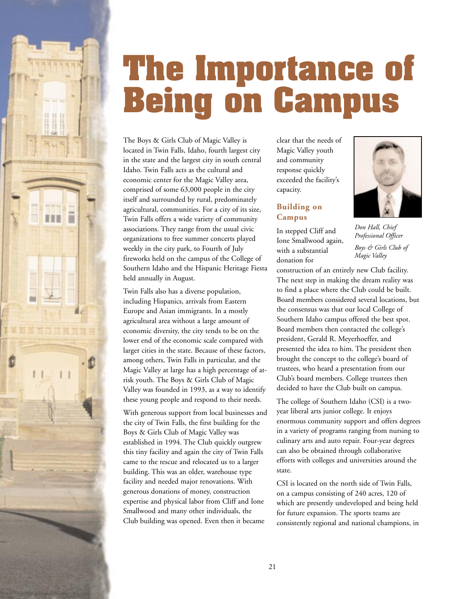<span id="page-24-0"></span>

The Boys & Girls Club of Magic Valley is located in Twin Falls, Idaho, fourth largest city in the state and the largest city in south central Idaho. Twin Falls acts as the cultural and economic center for the Magic Valley area, comprised of some 63,000 people in the city itself and surrounded by rural, predominately agricultural, communities. For a city of its size, Twin Falls offers a wide variety of community associations. They range from the usual civic organizations to free summer concerts played weekly in the city park, to Fourth of July fireworks held on the campus of the College of Southern Idaho and the Hispanic Heritage Fiesta held annually in August.

...

Twin Falls also has a diverse population, including Hispanics, arrivals from Eastern Europe and Asian immigrants. In a mostly agricultural area without a large amount of economic diversity, the city tends to be on the lower end of the economic scale compared with larger cities in the state. Because of these factors, among others, Twin Falls in particular, and the Magic Valley at large has a high percentage of atrisk youth. The Boys & Girls Club of Magic Valley was founded in 1993, as a way to identify these young people and respond to their needs.

With generous support from local businesses and the city of Twin Falls, the first building for the Boys & Girls Club of Magic Valley was established in 1994. The Club quickly outgrew this tiny facility and again the city of Twin Falls came to the rescue and relocated us to a larger building. This was an older, warehouse type facility and needed major renovations. With generous donations of money, construction expertise and physical labor from Cliff and Ione Smallwood and many other individuals, the Club building was opened. Even then it became

clear that the needs of Magic Valley youth and community response quickly exceeded the facility's capacity.

#### **Building on Campus**

In stepped Cliff and Ione Smallwood again, with a substantial donation for



*Don Hall, Chief Professional Officer Boys & Girls Club of Magic Valley*

construction of an entirely new Club facility. The next step in making the dream reality was to find a place where the Club could be built. Board members considered several locations, but the consensus was that our local College of Southern Idaho campus offered the best spot. Board members then contacted the college's president, Gerald R. Meyerhoeffer, and presented the idea to him. The president then brought the concept to the college's board of trustees, who heard a presentation from our Club's board members. College trustees then decided to have the Club built on campus.

The college of Southern Idaho (CSI) is a twoyear liberal arts junior college. It enjoys enormous community support and offers degrees in a variety of programs ranging from nursing to culinary arts and auto repair. Four-year degrees can also be obtained through collaborative efforts with colleges and universities around the state.

CSI is located on the north side of Twin Falls, on a campus consisting of 240 acres, 120 of which are presently undeveloped and being held for future expansion. The sports teams are consistently regional and national champions, in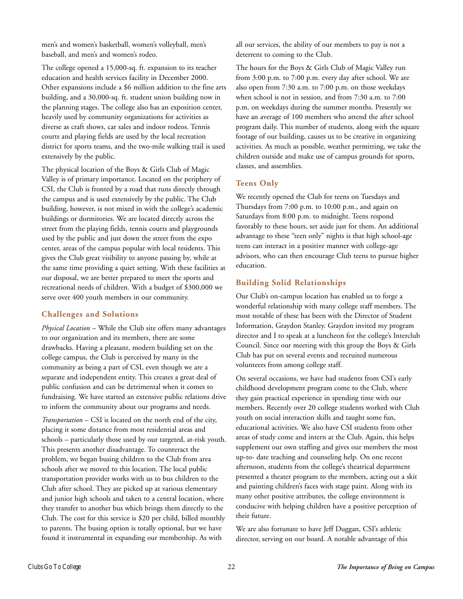men's and women's basketball, women's volleyball, men's baseball, and men's and women's rodeo.

The college opened a 15,000-sq. ft. expansion to its teacher education and health services facility in December 2000. Other expansions include a \$6 million addition to the fine arts building, and a 30,000-sq. ft. student union building now in the planning stages. The college also has an exposition center, heavily used by community organizations for activities as diverse as craft shows, car sales and indoor rodeos. Tennis courts and playing fields are used by the local recreation district for sports teams, and the two-mile walking trail is used extensively by the public.

The physical location of the Boys & Girls Club of Magic Valley is of primary importance. Located on the periphery of CSI, the Club is fronted by a road that runs directly through the campus and is used extensively by the public. The Club building, however, is not mixed in with the college's academic buildings or dormitories. We are located directly across the street from the playing fields, tennis courts and playgrounds used by the public and just down the street from the expo center, areas of the campus popular with local residents. This gives the Club great visibility to anyone passing by, while at the same time providing a quiet setting. With these facilities at our disposal, we are better prepared to meet the sports and recreational needs of children. With a budget of \$300,000 we serve over 400 youth members in our community.

#### **Challenges and Solutions**

*Physical Location* – While the Club site offers many advantages to our organization and its members, there are some drawbacks. Having a pleasant, modern building set on the college campus, the Club is perceived by many in the community as being a part of CSI, even though we are a separate and independent entity. This creates a great deal of public confusion and can be detrimental when it comes to fundraising. We have started an extensive public relations drive to inform the community about our programs and needs.

*Transportation* – CSI is located on the north end of the city, placing it some distance from most residential areas and schools – particularly those used by our targeted, at-risk youth. This presents another disadvantage. To counteract the problem, we began busing children to the Club from area schools after we moved to this location. The local public transportation provider works with us to bus children to the Club after school. They are picked up at various elementary and junior high schools and taken to a central location, where they transfer to another bus which brings them directly to the Club. The cost for this service is \$20 per child, billed monthly to parents. The busing option is totally optional, but we have found it instrumental in expanding our membership. As with

all our services, the ability of our members to pay is not a deterrent to coming to the Club.

The hours for the Boys & Girls Club of Magic Valley run from 3:00 p.m. to 7:00 p.m. every day after school. We are also open from 7:30 a.m. to 7:00 p.m. on those weekdays when school is not in session, and from 7:30 a.m. to 7:00 p.m. on weekdays during the summer months. Presently we have an average of 100 members who attend the after school program daily. This number of students, along with the square footage of our building, causes us to be creative in organizing activities. As much as possible, weather permitting, we take the children outside and make use of campus grounds for sports, classes, and assemblies.

#### **Teens Only**

We recently opened the Club for teens on Tuesdays and Thursdays from 7:00 p.m. to 10:00 p.m., and again on Saturdays from 8:00 p.m. to midnight. Teens respond favorably to these hours, set aside just for them. An additional advantage to these "teen only" nights is that high school-age teens can interact in a positive manner with college-age advisors, who can then encourage Club teens to pursue higher education.

#### **Building Solid Relationships**

Our Club's on-campus location has enabled us to forge a wonderful relationship with many college staff members. The most notable of these has been with the Director of Student Information, Graydon Stanley. Graydon invited my program director and I to speak at a luncheon for the college's Interclub Council. Since our meeting with this group the Boys & Girls Club has put on several events and recruited numerous volunteers from among college staff.

On several occasions, we have had students from CSI's early childhood development program come to the Club, where they gain practical experience in spending time with our members. Recently over 20 college students worked with Club youth on social interaction skills and taught some fun, educational activities. We also have CSI students from other areas of study come and intern at the Club. Again, this helps supplement our own staffing and gives our members the most up-to- date teaching and counseling help. On one recent afternoon, students from the college's theatrical department presented a theater program to the members, acting out a skit and painting children's faces with stage paint. Along with its many other positive attributes, the college environment is conducive with helping children have a positive perception of their future.

We are also fortunate to have Jeff Duggan, CSI's athletic director, serving on our board. A notable advantage of this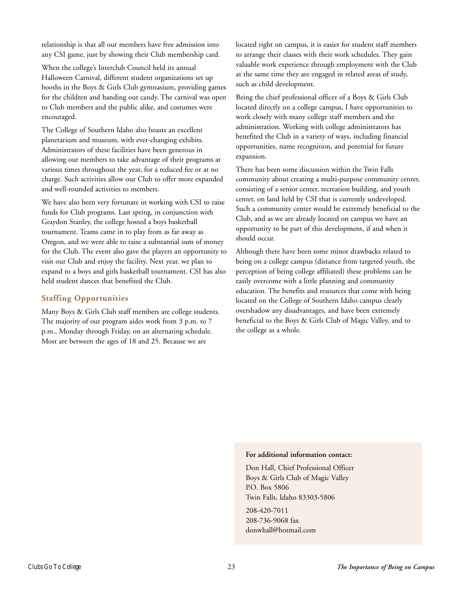relationship is that all our members have free admission into any CSI game, just by showing their Club membership card.

When the college's Interclub Council held its annual Halloween Carnival, different student organizations set up booths in the Boys & Girls Club gymnasium, providing games for the children and handing out candy. The carnival was open to Club members and the public alike, and costumes were encouraged.

The College of Southern Idaho also boasts an excellent planetarium and museum, with ever-changing exhibits. Administrators of these facilities have been generous in allowing our members to take advantage of their programs at various times throughout the year, for a reduced fee or at no charge. Such activities allow our Club to offer more expanded and well-rounded activities to members.

We have also been very fortunate in working with CSI to raise funds for Club programs. Last spring, in conjunction with Graydon Stanley, the college hosted a boys basketball tournament. Teams came in to play from as far away as Oregon, and we were able to raise a substantial sum of money for the Club. The event also gave the players an opportunity to visit our Club and enjoy the facility. Next year, we plan to expand to a boys and girls basketball tournament. CSI has also held student dances that benefited the Club.

#### **Staffing Opportunities**

Many Boys & Girls Club staff members are college students. The majority of our program aides work from 3 p.m. to 7 p.m., Monday through Friday, on an alternating schedule. Most are between the ages of 18 and 25. Because we are

located right on campus, it is easier for student staff members to arrange their classes with their work schedules. They gain valuable work experience through employment with the Club at the same time they are engaged in related areas of study, such as child development.

Being the chief professional officer of a Boys & Girls Club located directly on a college campus, I have opportunities to work closely with many college staff members and the administration. Working with college administrators has benefited the Club in a variety of ways, including financial opportunities, name recognition, and potential for future expansion.

There has been some discussion within the Twin Falls community about creating a multi-purpose community center, consisting of a senior center, recreation building, and youth center, on land held by CSI that is currently undeveloped. Such a community center would be extremely beneficial to the Club, and as we are already located on campus we have an opportunity to be part of this development, if and when it should occur.

Although there have been some minor drawbacks related to being on a college campus (distance from targeted youth, the perception of being college affiliated) these problems can be easily overcome with a little planning and community education. The benefits and resources that come with being located on the College of Southern Idaho campus clearly overshadow any disadvantages, and have been extremely beneficial to the Boys & Girls Club of Magic Valley, and to the college as a whole.

#### **For additional information contact:**

Don Hall, Chief Professional Officer Boys & Girls Club of Magic Valley P.O. Box 5806 Twin Falls, Idaho 83303-5806

208-420-7011 208-736-9068 fax donwhall@hotmail.com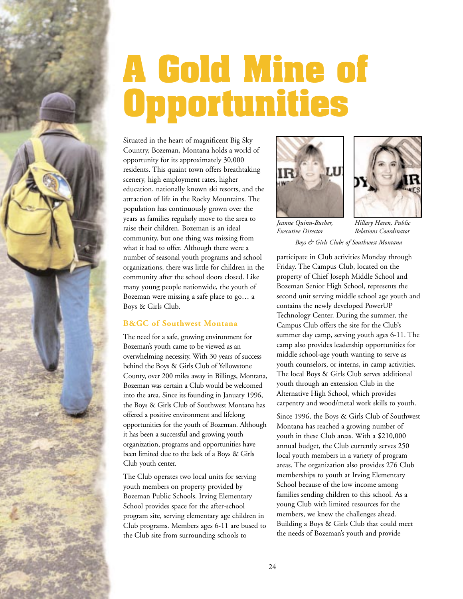<span id="page-27-0"></span>

### **A Gold Mine of Opportunities**

Situated in the heart of magnificent Big Sky Country, Bozeman, Montana holds a world of opportunity for its approximately 30,000 residents. This quaint town offers breathtaking scenery, high employment rates, higher education, nationally known ski resorts, and the attraction of life in the Rocky Mountains. The population has continuously grown over the years as families regularly move to the area to raise their children. Bozeman is an ideal community, but one thing was missing from what it had to offer. Although there were a number of seasonal youth programs and school organizations, there was little for children in the community after the school doors closed. Like many young people nationwide, the youth of Bozeman were missing a safe place to go… a Boys & Girls Club.

#### **B&GC of Southwest Montana**

The need for a safe, growing environment for Bozeman's youth came to be viewed as an overwhelming necessity. With 30 years of success behind the Boys & Girls Club of Yellowstone County, over 200 miles away in Billings, Montana, Bozeman was certain a Club would be welcomed into the area. Since its founding in January 1996, the Boys & Girls Club of Southwest Montana has offered a positive environment and lifelong opportunities for the youth of Bozeman. Although it has been a successful and growing youth organization, programs and opportunities have been limited due to the lack of a Boys & Girls Club youth center.

The Club operates two local units for serving youth members on property provided by Bozeman Public Schools. Irving Elementary School provides space for the after-school program site, serving elementary age children in Club programs. Members ages 6-11 are bused to the Club site from surrounding schools to





*Jeanne Quinn-Bucher, Executive Director*

*Hillary Haren, Public Relations Coordinator Boys & Girls Clubs of Southwest Montana*

participate in Club activities Monday through Friday. The Campus Club, located on the property of Chief Joseph Middle School and Bozeman Senior High School, represents the second unit serving middle school age youth and contains the newly developed PowerUP Technology Center. During the summer, the Campus Club offers the site for the Club's summer day camp, serving youth ages 6-11. The camp also provides leadership opportunities for middle school-age youth wanting to serve as youth counselors, or interns, in camp activities. The local Boys & Girls Club serves additional youth through an extension Club in the Alternative High School, which provides carpentry and wood/metal work skills to youth.

Since 1996, the Boys & Girls Club of Southwest Montana has reached a growing number of youth in these Club areas. With a \$210,000 annual budget, the Club currently serves 250 local youth members in a variety of program areas. The organization also provides 276 Club memberships to youth at Irving Elementary School because of the low income among families sending children to this school. As a young Club with limited resources for the members, we knew the challenges ahead. Building a Boys & Girls Club that could meet the needs of Bozeman's youth and provide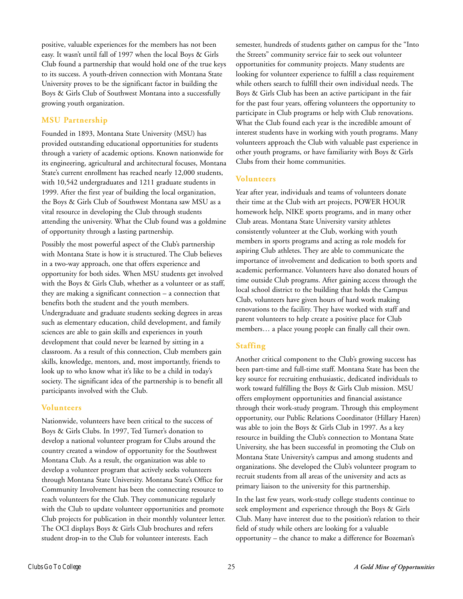positive, valuable experiences for the members has not been easy. It wasn't until fall of 1997 when the local Boys & Girls Club found a partnership that would hold one of the true keys to its success. A youth-driven connection with Montana State University proves to be the significant factor in building the Boys & Girls Club of Southwest Montana into a successfully growing youth organization.

#### **MSU Partnership**

Founded in 1893, Montana State University (MSU) has provided outstanding educational opportunities for students through a variety of academic options. Known nationwide for its engineering, agricultural and architectural focuses, Montana State's current enrollment has reached nearly 12,000 students, with 10,542 undergraduates and 1211 graduate students in 1999. After the first year of building the local organization, the Boys & Girls Club of Southwest Montana saw MSU as a vital resource in developing the Club through students attending the university. What the Club found was a goldmine of opportunity through a lasting partnership.

Possibly the most powerful aspect of the Club's partnership with Montana State is how it is structured. The Club believes in a two-way approach, one that offers experience and opportunity for both sides. When MSU students get involved with the Boys & Girls Club, whether as a volunteer or as staff, they are making a significant connection – a connection that benefits both the student and the youth members. Undergraduate and graduate students seeking degrees in areas such as elementary education, child development, and family sciences are able to gain skills and experiences in youth development that could never be learned by sitting in a classroom. As a result of this connection, Club members gain skills, knowledge, mentors, and, most importantly, friends to look up to who know what it's like to be a child in today's society. The significant idea of the partnership is to benefit all participants involved with the Club.

#### **Volunteers**

Nationwide, volunteers have been critical to the success of Boys & Girls Clubs. In 1997, Ted Turner's donation to develop a national volunteer program for Clubs around the country created a window of opportunity for the Southwest Montana Club. As a result, the organization was able to develop a volunteer program that actively seeks volunteers through Montana State University. Montana State's Office for Community Involvement has been the connecting resource to reach volunteers for the Club. They communicate regularly with the Club to update volunteer opportunities and promote Club projects for publication in their monthly volunteer letter. The OCI displays Boys & Girls Club brochures and refers student drop-in to the Club for volunteer interests. Each

semester, hundreds of students gather on campus for the "Into the Streets" community service fair to seek out volunteer opportunities for community projects. Many students are looking for volunteer experience to fulfill a class requirement while others search to fulfill their own individual needs. The Boys & Girls Club has been an active participant in the fair for the past four years, offering volunteers the opportunity to participate in Club programs or help with Club renovations. What the Club found each year is the incredible amount of interest students have in working with youth programs. Many volunteers approach the Club with valuable past experience in other youth programs, or have familiarity with Boys & Girls Clubs from their home communities.

#### **Volunteers**

Year after year, individuals and teams of volunteers donate their time at the Club with art projects, POWER HOUR homework help, NIKE sports programs, and in many other Club areas. Montana State University varsity athletes consistently volunteer at the Club, working with youth members in sports programs and acting as role models for aspiring Club athletes. They are able to communicate the importance of involvement and dedication to both sports and academic performance. Volunteers have also donated hours of time outside Club programs. After gaining access through the local school district to the building that holds the Campus Club, volunteers have given hours of hard work making renovations to the facility. They have worked with staff and parent volunteers to help create a positive place for Club members… a place young people can finally call their own.

#### **Staffing**

Another critical component to the Club's growing success has been part-time and full-time staff. Montana State has been the key source for recruiting enthusiastic, dedicated individuals to work toward fulfilling the Boys & Girls Club mission. MSU offers employment opportunities and financial assistance through their work-study program. Through this employment opportunity, our Public Relations Coordinator (Hillary Haren) was able to join the Boys & Girls Club in 1997. As a key resource in building the Club's connection to Montana State University, she has been successful in promoting the Club on Montana State University's campus and among students and organizations. She developed the Club's volunteer program to recruit students from all areas of the university and acts as primary liaison to the university for this partnership.

In the last few years, work-study college students continue to seek employment and experience through the Boys & Girls Club. Many have interest due to the position's relation to their field of study while others are looking for a valuable opportunity – the chance to make a difference for Bozeman's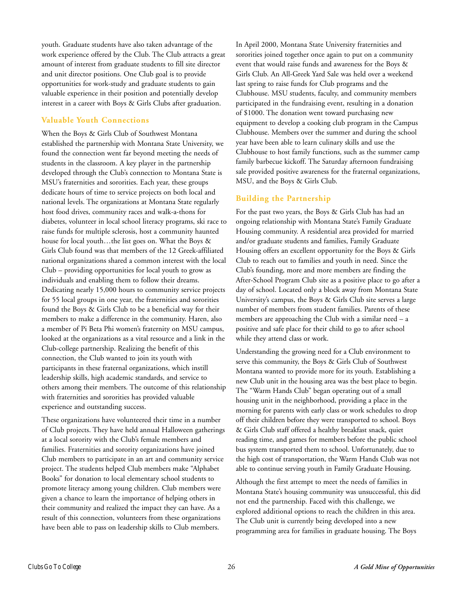youth. Graduate students have also taken advantage of the work experience offered by the Club. The Club attracts a great amount of interest from graduate students to fill site director and unit director positions. One Club goal is to provide opportunities for work-study and graduate students to gain valuable experience in their position and potentially develop interest in a career with Boys & Girls Clubs after graduation.

#### **Valuable Youth Connections**

When the Boys & Girls Club of Southwest Montana established the partnership with Montana State University, we found the connection went far beyond meeting the needs of students in the classroom. A key player in the partnership developed through the Club's connection to Montana State is MSU's fraternities and sororities. Each year, these groups dedicate hours of time to service projects on both local and national levels. The organizations at Montana State regularly host food drives, community races and walk-a-thons for diabetes, volunteer in local school literacy programs, ski race to raise funds for multiple sclerosis, host a community haunted house for local youth…the list goes on. What the Boys & Girls Club found was that members of the 12 Greek-affiliated national organizations shared a common interest with the local Club – providing opportunities for local youth to grow as individuals and enabling them to follow their dreams. Dedicating nearly 15,000 hours to community service projects for 55 local groups in one year, the fraternities and sororities found the Boys & Girls Club to be a beneficial way for their members to make a difference in the community. Haren, also a member of Pi Beta Phi women's fraternity on MSU campus, looked at the organizations as a vital resource and a link in the Club-college partnership. Realizing the benefit of this connection, the Club wanted to join its youth with participants in these fraternal organizations, which instill leadership skills, high academic standards, and service to others among their members. The outcome of this relationship with fraternities and sororities has provided valuable experience and outstanding success.

These organizations have volunteered their time in a number of Club projects. They have held annual Halloween gatherings at a local sorority with the Club's female members and families. Fraternities and sorority organizations have joined Club members to participate in an art and community service project. The students helped Club members make "Alphabet Books" for donation to local elementary school students to promote literacy among young children. Club members were given a chance to learn the importance of helping others in their community and realized the impact they can have. As a result of this connection, volunteers from these organizations have been able to pass on leadership skills to Club members.

In April 2000, Montana State University fraternities and sororities joined together once again to put on a community event that would raise funds and awareness for the Boys & Girls Club. An All-Greek Yard Sale was held over a weekend last spring to raise funds for Club programs and the Clubhouse. MSU students, faculty, and community members participated in the fundraising event, resulting in a donation of \$1000. The donation went toward purchasing new equipment to develop a cooking club program in the Campus Clubhouse. Members over the summer and during the school year have been able to learn culinary skills and use the Clubhouse to host family functions, such as the summer camp family barbecue kickoff. The Saturday afternoon fundraising sale provided positive awareness for the fraternal organizations, MSU, and the Boys & Girls Club.

#### **Building the Partnership**

For the past two years, the Boys & Girls Club has had an ongoing relationship with Montana State's Family Graduate Housing community. A residential area provided for married and/or graduate students and families, Family Graduate Housing offers an excellent opportunity for the Boys & Girls Club to reach out to families and youth in need. Since the Club's founding, more and more members are finding the After-School Program Club site as a positive place to go after a day of school. Located only a block away from Montana State University's campus, the Boys & Girls Club site serves a large number of members from student families. Parents of these members are approaching the Club with a similar need – a positive and safe place for their child to go to after school while they attend class or work.

Understanding the growing need for a Club environment to serve this community, the Boys & Girls Club of Southwest Montana wanted to provide more for its youth. Establishing a new Club unit in the housing area was the best place to begin. The "Warm Hands Club" began operating out of a small housing unit in the neighborhood, providing a place in the morning for parents with early class or work schedules to drop off their children before they were transported to school. Boys & Girls Club staff offered a healthy breakfast snack, quiet reading time, and games for members before the public school bus system transported them to school. Unfortunately, due to the high cost of transportation, the Warm Hands Club was not able to continue serving youth in Family Graduate Housing.

Although the first attempt to meet the needs of families in Montana State's housing community was unsuccessful, this did not end the partnership. Faced with this challenge, we explored additional options to reach the children in this area. The Club unit is currently being developed into a new programming area for families in graduate housing. The Boys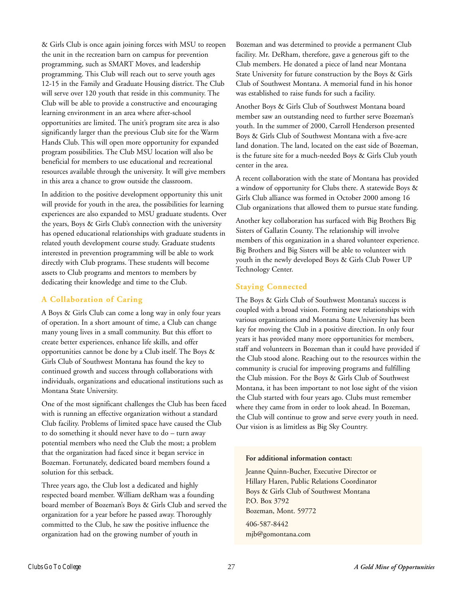& Girls Club is once again joining forces with MSU to reopen the unit in the recreation barn on campus for prevention programming, such as SMART Moves, and leadership programming. This Club will reach out to serve youth ages 12-15 in the Family and Graduate Housing district. The Club will serve over 120 youth that reside in this community. The Club will be able to provide a constructive and encouraging learning environment in an area where after-school opportunities are limited. The unit's program site area is also significantly larger than the previous Club site for the Warm Hands Club. This will open more opportunity for expanded program possibilities. The Club MSU location will also be beneficial for members to use educational and recreational resources available through the university. It will give members in this area a chance to grow outside the classroom.

In addition to the positive development opportunity this unit will provide for youth in the area, the possibilities for learning experiences are also expanded to MSU graduate students. Over the years, Boys & Girls Club's connection with the university has opened educational relationships with graduate students in related youth development course study. Graduate students interested in prevention programming will be able to work directly with Club programs. These students will become assets to Club programs and mentors to members by dedicating their knowledge and time to the Club.

#### **A Collaboration of Caring**

A Boys & Girls Club can come a long way in only four years of operation. In a short amount of time, a Club can change many young lives in a small community. But this effort to create better experiences, enhance life skills, and offer opportunities cannot be done by a Club itself. The Boys & Girls Club of Southwest Montana has found the key to continued growth and success through collaborations with individuals, organizations and educational institutions such as Montana State University.

One of the most significant challenges the Club has been faced with is running an effective organization without a standard Club facility. Problems of limited space have caused the Club to do something it should never have to do – turn away potential members who need the Club the most; a problem that the organization had faced since it began service in Bozeman. Fortunately, dedicated board members found a solution for this setback.

Three years ago, the Club lost a dedicated and highly respected board member. William deRham was a founding board member of Bozeman's Boys & Girls Club and served the organization for a year before he passed away. Thoroughly committed to the Club, he saw the positive influence the organization had on the growing number of youth in

Bozeman and was determined to provide a permanent Club facility. Mr. DeRham, therefore, gave a generous gift to the Club members. He donated a piece of land near Montana State University for future construction by the Boys & Girls Club of Southwest Montana. A memorial fund in his honor was established to raise funds for such a facility.

Another Boys & Girls Club of Southwest Montana board member saw an outstanding need to further serve Bozeman's youth. In the summer of 2000, Carroll Henderson presented Boys & Girls Club of Southwest Montana with a five-acre land donation. The land, located on the east side of Bozeman, is the future site for a much-needed Boys & Girls Club youth center in the area.

A recent collaboration with the state of Montana has provided a window of opportunity for Clubs there. A statewide Boys & Girls Club alliance was formed in October 2000 among 16 Club organizations that allowed them to pursue state funding.

Another key collaboration has surfaced with Big Brothers Big Sisters of Gallatin County. The relationship will involve members of this organization in a shared volunteer experience. Big Brothers and Big Sisters will be able to volunteer with youth in the newly developed Boys & Girls Club Power UP Technology Center.

#### **Staying Connected**

The Boys & Girls Club of Southwest Montana's success is coupled with a broad vision. Forming new relationships with various organizations and Montana State University has been key for moving the Club in a positive direction. In only four years it has provided many more opportunities for members, staff and volunteers in Bozeman than it could have provided if the Club stood alone. Reaching out to the resources within the community is crucial for improving programs and fulfilling the Club mission. For the Boys & Girls Club of Southwest Montana, it has been important to not lose sight of the vision the Club started with four years ago. Clubs must remember where they came from in order to look ahead. In Bozeman, the Club will continue to grow and serve every youth in need. Our vision is as limitless as Big Sky Country.

#### **For additional information contact:**

Jeanne Quinn-Bucher, Executive Director or Hillary Haren, Public Relations Coordinator Boys & Girls Club of Southwest Montana P.O. Box 3792 Bozeman, Mont. 59772

406-587-8442 mjb@gomontana.com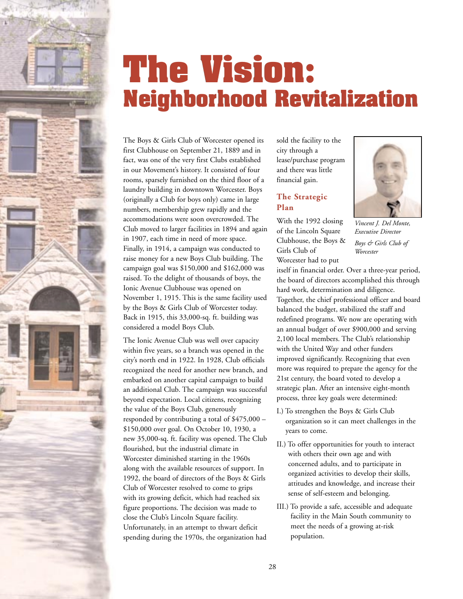<span id="page-31-0"></span>

### **The Vision: Neighborhood Revitalization**

The Boys & Girls Club of Worcester opened its first Clubhouse on September 21, 1889 and in fact, was one of the very first Clubs established in our Movement's history. It consisted of four rooms, sparsely furnished on the third floor of a laundry building in downtown Worcester. Boys (originally a Club for boys only) came in large numbers, membership grew rapidly and the accommodations were soon overcrowded. The Club moved to larger facilities in 1894 and again in 1907, each time in need of more space. Finally, in 1914, a campaign was conducted to raise money for a new Boys Club building. The campaign goal was \$150,000 and \$162,000 was raised. To the delight of thousands of boys, the Ionic Avenue Clubhouse was opened on November 1, 1915. This is the same facility used by the Boys & Girls Club of Worcester today. Back in 1915, this 33,000-sq. ft. building was considered a model Boys Club.

The Ionic Avenue Club was well over capacity within five years, so a branch was opened in the city's north end in 1922. In 1928, Club officials recognized the need for another new branch, and embarked on another capital campaign to build an additional Club. The campaign was successful beyond expectation. Local citizens, recognizing the value of the Boys Club, generously responded by contributing a total of \$475,000 – \$150,000 over goal. On October 10, 1930, a new 35,000-sq. ft. facility was opened. The Club flourished, but the industrial climate in Worcester diminished starting in the 1960s along with the available resources of support. In 1992, the board of directors of the Boys & Girls Club of Worcester resolved to come to grips with its growing deficit, which had reached six figure proportions. The decision was made to close the Club's Lincoln Square facility. Unfortunately, in an attempt to thwart deficit spending during the 1970s, the organization had

sold the facility to the city through a lease/purchase program and there was little financial gain.

#### **The Strategic Plan**

With the 1992 closing of the Lincoln Square Clubhouse, the Boys & Girls Club of Worcester had to put



*Vincent J. Del Monte, Executive Director Boys & Girls Club of Worcester*

itself in financial order. Over a three-year period, the board of directors accomplished this through hard work, determination and diligence. Together, the chief professional officer and board balanced the budget, stabilized the staff and redefined programs. We now are operating with an annual budget of over \$900,000 and serving 2,100 local members. The Club's relationship with the United Way and other funders improved significantly. Recognizing that even more was required to prepare the agency for the 21st century, the board voted to develop a strategic plan. After an intensive eight-month process, three key goals were determined:

- I.) To strengthen the Boys & Girls Club organization so it can meet challenges in the years to come.
- II.) To offer opportunities for youth to interact with others their own age and with concerned adults, and to participate in organized activities to develop their skills, attitudes and knowledge, and increase their sense of self-esteem and belonging.
- III.) To provide a safe, accessible and adequate facility in the Main South community to meet the needs of a growing at-risk population.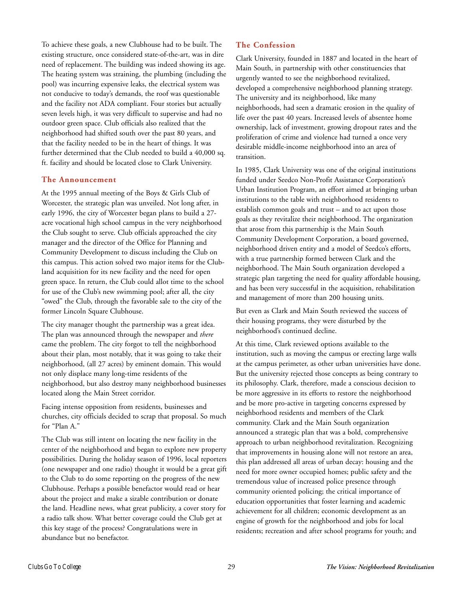To achieve these goals, a new Clubhouse had to be built. The existing structure, once considered state-of-the-art, was in dire need of replacement. The building was indeed showing its age. The heating system was straining, the plumbing (including the pool) was incurring expensive leaks, the electrical system was not conducive to today's demands, the roof was questionable and the facility not ADA compliant. Four stories but actually seven levels high, it was very difficult to supervise and had no outdoor green space. Club officials also realized that the neighborhood had shifted south over the past 80 years, and that the facility needed to be in the heart of things. It was further determined that the Club needed to build a 40,000 sq. ft. facility and should be located close to Clark University.

#### **The Announcement**

At the 1995 annual meeting of the Boys & Girls Club of Worcester, the strategic plan was unveiled. Not long after, in early 1996, the city of Worcester began plans to build a 27 acre vocational high school campus in the very neighborhood the Club sought to serve. Club officials approached the city manager and the director of the Office for Planning and Community Development to discuss including the Club on this campus. This action solved two major items for the Clubland acquisition for its new facility and the need for open green space. In return, the Club could allot time to the school for use of the Club's new swimming pool; after all, the city "owed" the Club, through the favorable sale to the city of the former Lincoln Square Clubhouse.

The city manager thought the partnership was a great idea. The plan was announced through the newspaper and *there* came the problem. The city forgot to tell the neighborhood about their plan, most notably, that it was going to take their neighborhood, (all 27 acres) by eminent domain. This would not only displace many long-time residents of the neighborhood, but also destroy many neighborhood businesses located along the Main Street corridor.

Facing intense opposition from residents, businesses and churches, city officials decided to scrap that proposal. So much for "Plan A."

The Club was still intent on locating the new facility in the center of the neighborhood and began to explore new property possibilities. During the holiday season of 1996, local reporters (one newspaper and one radio) thought it would be a great gift to the Club to do some reporting on the progress of the new Clubhouse. Perhaps a possible benefactor would read or hear about the project and make a sizable contribution or donate the land. Headline news, what great publicity, a cover story for a radio talk show. What better coverage could the Club get at this key stage of the process? Congratulations were in abundance but no benefactor.

#### **The Confession**

Clark University, founded in 1887 and located in the heart of Main South, in partnership with other constituencies that urgently wanted to see the neighborhood revitalized, developed a comprehensive neighborhood planning strategy. The university and its neighborhood, like many neighborhoods, had seen a dramatic erosion in the quality of life over the past 40 years. Increased levels of absentee home ownership, lack of investment, growing dropout rates and the proliferation of crime and violence had turned a once very desirable middle-income neighborhood into an area of transition.

In 1985, Clark University was one of the original institutions funded under Seedco Non-Profit Assistance Corporation's Urban Institution Program, an effort aimed at bringing urban institutions to the table with neighborhood residents to establish common goals and trust – and to act upon those goals as they revitalize their neighborhood. The organization that arose from this partnership is the Main South Community Development Corporation, a board governed, neighborhood driven entity and a model of Seedco's efforts, with a true partnership formed between Clark and the neighborhood. The Main South organization developed a strategic plan targeting the need for quality affordable housing, and has been very successful in the acquisition, rehabilitation and management of more than 200 housing units.

But even as Clark and Main South reviewed the success of their housing programs, they were disturbed by the neighborhood's continued decline.

At this time, Clark reviewed options available to the institution, such as moving the campus or erecting large walls at the campus perimeter, as other urban universities have done. But the university rejected those concepts as being contrary to its philosophy. Clark, therefore, made a conscious decision to be more aggressive in its efforts to restore the neighborhood and be more pro-active in targeting concerns expressed by neighborhood residents and members of the Clark community. Clark and the Main South organization announced a strategic plan that was a bold, comprehensive approach to urban neighborhood revitalization. Recognizing that improvements in housing alone will not restore an area, this plan addressed all areas of urban decay: housing and the need for more owner occupied homes; public safety and the tremendous value of increased police presence through community oriented policing; the critical importance of education opportunities that foster learning and academic achievement for all children; economic development as an engine of growth for the neighborhood and jobs for local residents; recreation and after school programs for youth; and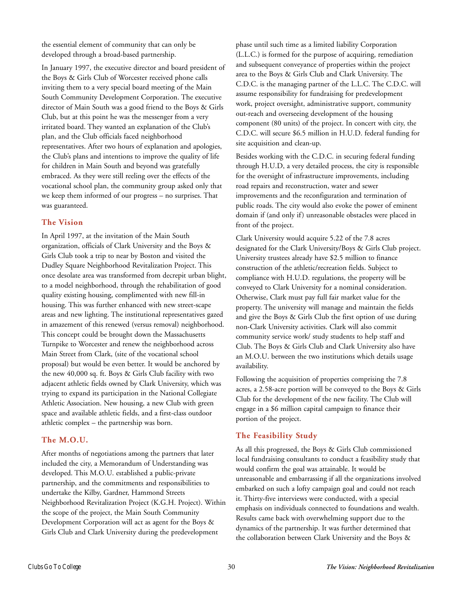the essential element of community that can only be developed through a broad-based partnership.

In January 1997, the executive director and board president of the Boys & Girls Club of Worcester received phone calls inviting them to a very special board meeting of the Main South Community Development Corporation. The executive director of Main South was a good friend to the Boys & Girls Club, but at this point he was the messenger from a very irritated board. They wanted an explanation of the Club's plan, and the Club officials faced neighborhood representatives. After two hours of explanation and apologies, the Club's plans and intentions to improve the quality of life for children in Main South and beyond was gratefully embraced. As they were still reeling over the effects of the vocational school plan, the community group asked only that we keep them informed of our progress – no surprises. That was guaranteed.

#### **The Vision**

In April 1997, at the invitation of the Main South organization, officials of Clark University and the Boys & Girls Club took a trip to near by Boston and visited the Dudley Square Neighborhood Revitalization Project. This once desolate area was transformed from decrepit urban blight, to a model neighborhood, through the rehabilitation of good quality existing housing, complimented with new fill-in housing. This was further enhanced with new street-scape areas and new lighting. The institutional representatives gazed in amazement of this renewed (versus removal) neighborhood. This concept could be brought down the Massachusetts Turnpike to Worcester and renew the neighborhood across Main Street from Clark, (site of the vocational school proposal) but would be even better. It would be anchored by the new 40,000 sq. ft. Boys & Girls Club facility with two adjacent athletic fields owned by Clark University, which was trying to expand its participation in the National Collegiate Athletic Association. New housing, a new Club with green space and available athletic fields, and a first-class outdoor athletic complex – the partnership was born.

#### **The M.O.U.**

After months of negotiations among the partners that later included the city, a Memorandum of Understanding was developed. This M.O.U. established a public-private partnership, and the commitments and responsibilities to undertake the Kilby, Gardner, Hammond Streets Neighborhood Revitalization Project (K.G.H. Project). Within the scope of the project, the Main South Community Development Corporation will act as agent for the Boys & Girls Club and Clark University during the predevelopment

phase until such time as a limited liability Corporation (L.L.C.) is formed for the purpose of acquiring, remediation and subsequent conveyance of properties within the project area to the Boys & Girls Club and Clark University. The C.D.C. is the managing partner of the L.L.C. The C.D.C. will assume responsibility for fundraising for predevelopment work, project oversight, administrative support, community out-reach and overseeing development of the housing component (80 units) of the project. In concert with city, the C.D.C. will secure \$6.5 million in H.U.D. federal funding for site acquisition and clean-up.

Besides working with the C.D.C. in securing federal funding through H.U.D, a very detailed process, the city is responsible for the oversight of infrastructure improvements, including road repairs and reconstruction, water and sewer improvements and the reconfiguration and termination of public roads. The city would also evoke the power of eminent domain if (and only if) unreasonable obstacles were placed in front of the project.

Clark University would acquire 5.22 of the 7.8 acres designated for the Clark University/Boys & Girls Club project. University trustees already have \$2.5 million to finance construction of the athletic/recreation fields. Subject to compliance with H.U.D. regulations, the property will be conveyed to Clark University for a nominal consideration. Otherwise, Clark must pay full fair market value for the property. The university will manage and maintain the fields and give the Boys & Girls Club the first option of use during non-Clark University activities. Clark will also commit community service work/ study students to help staff and Club. The Boys & Girls Club and Clark University also have an M.O.U. between the two institutions which details usage availability.

Following the acquisition of properties comprising the 7.8 acres, a 2.58-acre portion will be conveyed to the Boys & Girls Club for the development of the new facility. The Club will engage in a \$6 million capital campaign to finance their portion of the project.

#### **The Feasibility Study**

As all this progressed, the Boys & Girls Club commissioned local fundraising consultants to conduct a feasibility study that would confirm the goal was attainable. It would be unreasonable and embarrassing if all the organizations involved embarked on such a lofty campaign goal and could not reach it. Thirty-five interviews were conducted, with a special emphasis on individuals connected to foundations and wealth. Results came back with overwhelming support due to the dynamics of the partnership. It was further determined that the collaboration between Clark University and the Boys &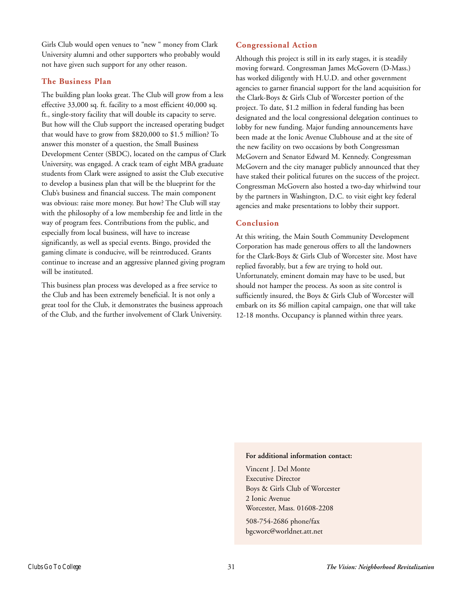Girls Club would open venues to "new " money from Clark University alumni and other supporters who probably would not have given such support for any other reason.

#### **The Business Plan**

The building plan looks great. The Club will grow from a less effective 33,000 sq. ft. facility to a most efficient 40,000 sq. ft., single-story facility that will double its capacity to serve. But how will the Club support the increased operating budget that would have to grow from \$820,000 to \$1.5 million? To answer this monster of a question, the Small Business Development Center (SBDC), located on the campus of Clark University, was engaged. A crack team of eight MBA graduate students from Clark were assigned to assist the Club executive to develop a business plan that will be the blueprint for the Club's business and financial success. The main component was obvious: raise more money. But how? The Club will stay with the philosophy of a low membership fee and little in the way of program fees. Contributions from the public, and especially from local business, will have to increase significantly, as well as special events. Bingo, provided the gaming climate is conducive, will be reintroduced. Grants continue to increase and an aggressive planned giving program will be instituted.

This business plan process was developed as a free service to the Club and has been extremely beneficial. It is not only a great tool for the Club, it demonstrates the business approach of the Club, and the further involvement of Clark University.

#### **Congressional Action**

Although this project is still in its early stages, it is steadily moving forward. Congressman James McGovern (D-Mass.) has worked diligently with H.U.D. and other government agencies to garner financial support for the land acquisition for the Clark-Boys & Girls Club of Worcester portion of the project. To date, \$1.2 million in federal funding has been designated and the local congressional delegation continues to lobby for new funding. Major funding announcements have been made at the Ionic Avenue Clubhouse and at the site of the new facility on two occasions by both Congressman McGovern and Senator Edward M. Kennedy. Congressman McGovern and the city manager publicly announced that they have staked their political futures on the success of the project. Congressman McGovern also hosted a two-day whirlwind tour by the partners in Washington, D.C. to visit eight key federal agencies and make presentations to lobby their support.

#### **Conclusion**

At this writing, the Main South Community Development Corporation has made generous offers to all the landowners for the Clark-Boys & Girls Club of Worcester site. Most have replied favorably, but a few are trying to hold out. Unfortunately, eminent domain may have to be used, but should not hamper the process. As soon as site control is sufficiently insured, the Boys & Girls Club of Worcester will embark on its \$6 million capital campaign, one that will take 12-18 months. Occupancy is planned within three years.

#### **For additional information contact:**

Vincent J. Del Monte Executive Director Boys & Girls Club of Worcester 2 Ionic Avenue Worcester, Mass. 01608-2208

508-754-2686 phone/fax bgcworc@worldnet.att.net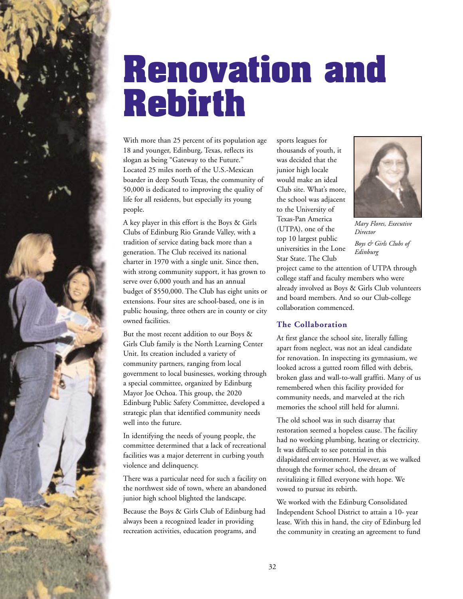<span id="page-35-0"></span>

With more than 25 percent of its population age 18 and younger, Edinburg, Texas, reflects its slogan as being "Gateway to the Future." Located 25 miles north of the U.S.-Mexican boarder in deep South Texas, the community of 50,000 is dedicated to improving the quality of life for all residents, but especially its young people.

A key player in this effort is the Boys & Girls Clubs of Edinburg Rio Grande Valley, with a tradition of service dating back more than a generation. The Club received its national charter in 1970 with a single unit. Since then, with strong community support, it has grown to serve over 6,000 youth and has an annual budget of \$550,000. The Club has eight units or extensions. Four sites are school-based, one is in public housing, three others are in county or city owned facilities.

But the most recent addition to our Boys & Girls Club family is the North Learning Center Unit. Its creation included a variety of community partners, ranging from local government to local businesses, working through a special committee, organized by Edinburg Mayor Joe Ochoa. This group, the 2020 Edinburg Public Safety Committee, developed a strategic plan that identified community needs well into the future.

In identifying the needs of young people, the committee determined that a lack of recreational facilities was a major deterrent in curbing youth violence and delinquency.

There was a particular need for such a facility on the northwest side of town, where an abandoned junior high school blighted the landscape.

Because the Boys & Girls Club of Edinburg had always been a recognized leader in providing recreation activities, education programs, and

sports leagues for thousands of youth, it was decided that the junior high locale would make an ideal Club site. What's more, the school was adjacent to the University of Texas-Pan America (UTPA), one of the top 10 largest public universities in the Lone Star State. The Club



*Mary Flores, Executive Director Boys & Girls Clubs of Edinburg*

project came to the attention of UTPA through college staff and faculty members who were already involved as Boys & Girls Club volunteers and board members. And so our Club-college collaboration commenced.

#### **The Collaboration**

At first glance the school site, literally falling apart from neglect, was not an ideal candidate for renovation. In inspecting its gymnasium, we looked across a gutted room filled with debris, broken glass and wall-to-wall graffiti. Many of us remembered when this facility provided for community needs, and marveled at the rich memories the school still held for alumni.

The old school was in such disarray that restoration seemed a hopeless cause. The facility had no working plumbing, heating or electricity. It was difficult to see potential in this dilapidated environment. However, as we walked through the former school, the dream of revitalizing it filled everyone with hope. We vowed to pursue its rebirth.

We worked with the Edinburg Consolidated Independent School District to attain a 10- year lease. With this in hand, the city of Edinburg led the community in creating an agreement to fund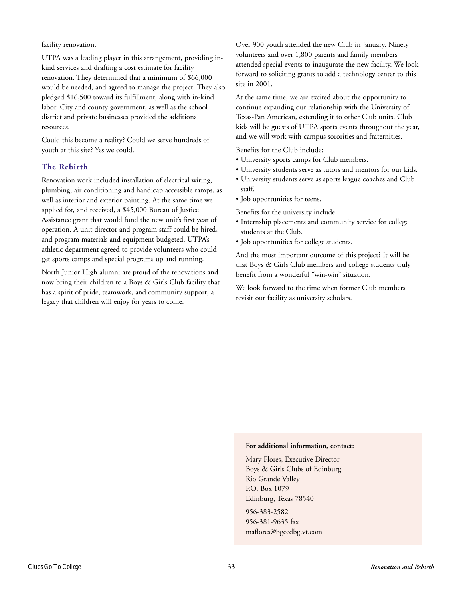facility renovation.

UTPA was a leading player in this arrangement, providing inkind services and drafting a cost estimate for facility renovation. They determined that a minimum of \$66,000 would be needed, and agreed to manage the project. They also pledged \$16,500 toward its fulfillment, along with in-kind labor. City and county government, as well as the school district and private businesses provided the additional resources.

Could this become a reality? Could we serve hundreds of youth at this site? Yes we could.

#### **The Rebirth**

Renovation work included installation of electrical wiring, plumbing, air conditioning and handicap accessible ramps, as well as interior and exterior painting. At the same time we applied for, and received, a \$45,000 Bureau of Justice Assistance grant that would fund the new unit's first year of operation. A unit director and program staff could be hired, and program materials and equipment budgeted. UTPA's athletic department agreed to provide volunteers who could get sports camps and special programs up and running.

North Junior High alumni are proud of the renovations and now bring their children to a Boys & Girls Club facility that has a spirit of pride, teamwork, and community support, a legacy that children will enjoy for years to come.

Over 900 youth attended the new Club in January. Ninety volunteers and over 1,800 parents and family members attended special events to inaugurate the new facility. We look forward to soliciting grants to add a technology center to this site in 2001.

At the same time, we are excited about the opportunity to continue expanding our relationship with the University of Texas-Pan American, extending it to other Club units. Club kids will be guests of UTPA sports events throughout the year, and we will work with campus sororities and fraternities.

Benefits for the Club include:

- University sports camps for Club members.
- University students serve as tutors and mentors for our kids.
- University students serve as sports league coaches and Club staff.
- Job opportunities for teens.

Benefits for the university include:

- Internship placements and community service for college students at the Club.
- Job opportunities for college students.

And the most important outcome of this project? It will be that Boys & Girls Club members and college students truly benefit from a wonderful "win-win" situation.

We look forward to the time when former Club members revisit our facility as university scholars.

#### **For additional information, contact:**

Mary Flores, Executive Director Boys & Girls Clubs of Edinburg Rio Grande Valley P.O. Box 1079 Edinburg, Texas 78540

956-383-2582 956-381-9635 fax maflores@bgcedbg.vt.com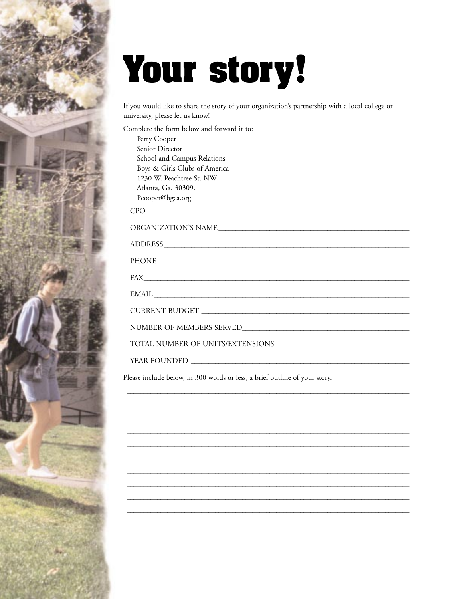# Your story!

If you would like to share the story of your organization's partnership with a local college or university, please let us know!

| Complete the form below and forward it to: |
|--------------------------------------------|
| Perry Cooper                               |
| Senior Director                            |
| School and Campus Relations                |
| Boys & Girls Clubs of America              |
| 1230 W. Peachtree St. NW                   |
| Atlanta, Ga. 30309.                        |
| Pcooper@bgca.org                           |
|                                            |
|                                            |
| ADDRESS                                    |
|                                            |
|                                            |
|                                            |
|                                            |
|                                            |
|                                            |
|                                            |
|                                            |
|                                            |
| YEAR FOUNDED                               |

Please include below, in 300 words or less, a brief outline of your story.